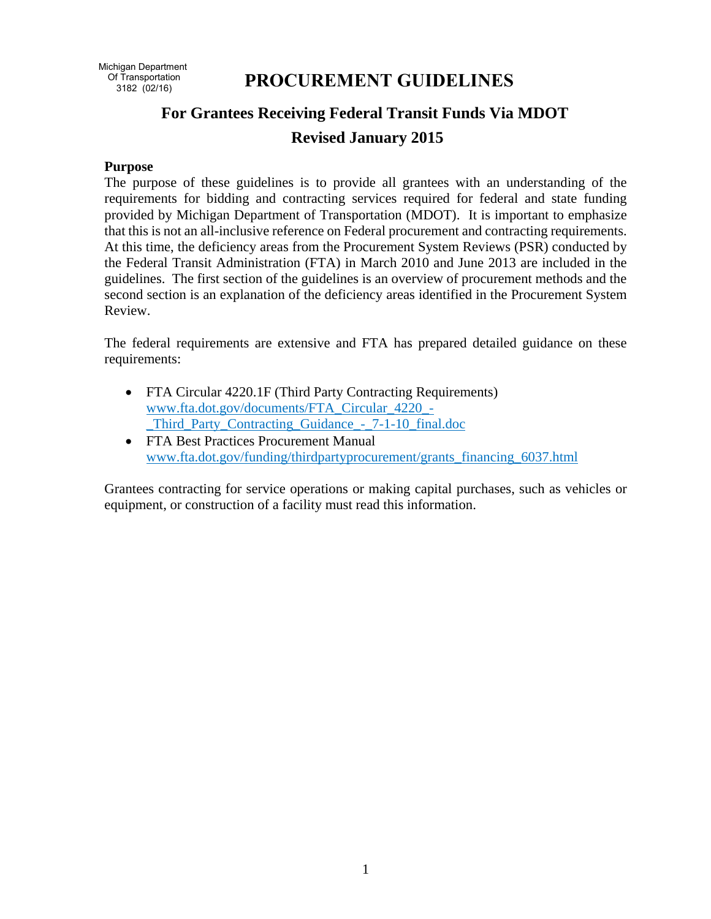# **PROCUREMENT GUIDELINES**

# **For Grantees Receiving Federal Transit Funds Via MDOT Revised January 2015**

#### **Purpose**

The purpose of these guidelines is to provide all grantees with an understanding of the requirements for bidding and contracting services required for federal and state funding provided by Michigan Department of Transportation (MDOT). It is important to emphasize that this is not an all-inclusive reference on Federal procurement and contracting requirements. At this time, the deficiency areas from the Procurement System Reviews (PSR) conducted by the Federal Transit Administration (FTA) in March 2010 and June 2013 are included in the guidelines. The first section of the guidelines is an overview of procurement methods and the second section is an explanation of the deficiency areas identified in the Procurement System Review.

The federal requirements are extensive and FTA has prepared detailed guidance on these requirements:

- FTA Circular 4220.1F (Third Party Contracting Requirements) www.fta.dot.gov/documents/FTA\_Circular\_4220\_- \_Third\_Party\_Contracting\_Guidance\_-\_7-1-10\_final.doc
- FTA Best Practices Procurement Manual www.fta.dot.gov/funding/thirdpartyprocurement/grants\_financing\_6037.html

Grantees contracting for service operations or making capital purchases, such as vehicles or equipment, or construction of a facility must read this information.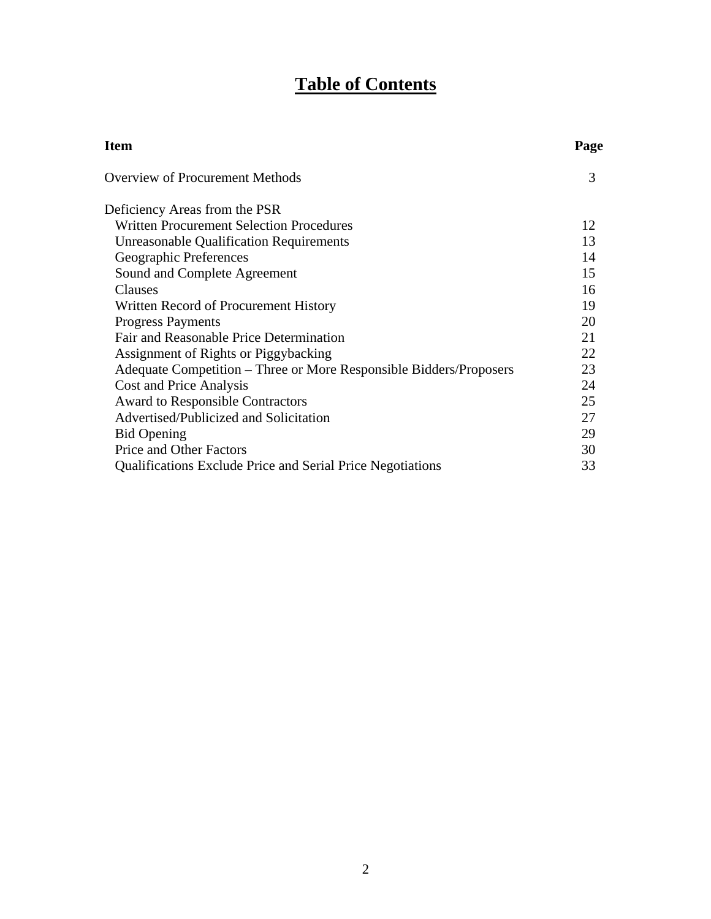# **Table of Contents**

| <b>Item</b>                                                        | Page |
|--------------------------------------------------------------------|------|
| <b>Overview of Procurement Methods</b>                             | 3    |
| Deficiency Areas from the PSR                                      |      |
| Written Procurement Selection Procedures                           | 12   |
| <b>Unreasonable Qualification Requirements</b>                     | 13   |
| Geographic Preferences                                             | 14   |
| Sound and Complete Agreement                                       | 15   |
| Clauses                                                            | 16   |
| Written Record of Procurement History                              | 19   |
| <b>Progress Payments</b>                                           | 20   |
| Fair and Reasonable Price Determination                            | 21   |
| Assignment of Rights or Piggybacking                               | 22   |
| Adequate Competition – Three or More Responsible Bidders/Proposers | 23   |
| Cost and Price Analysis                                            | 24   |
| <b>Award to Responsible Contractors</b>                            | 25   |
| Advertised/Publicized and Solicitation                             | 27   |
| <b>Bid Opening</b>                                                 | 29   |
| Price and Other Factors                                            | 30   |
| <b>Qualifications Exclude Price and Serial Price Negotiations</b>  | 33   |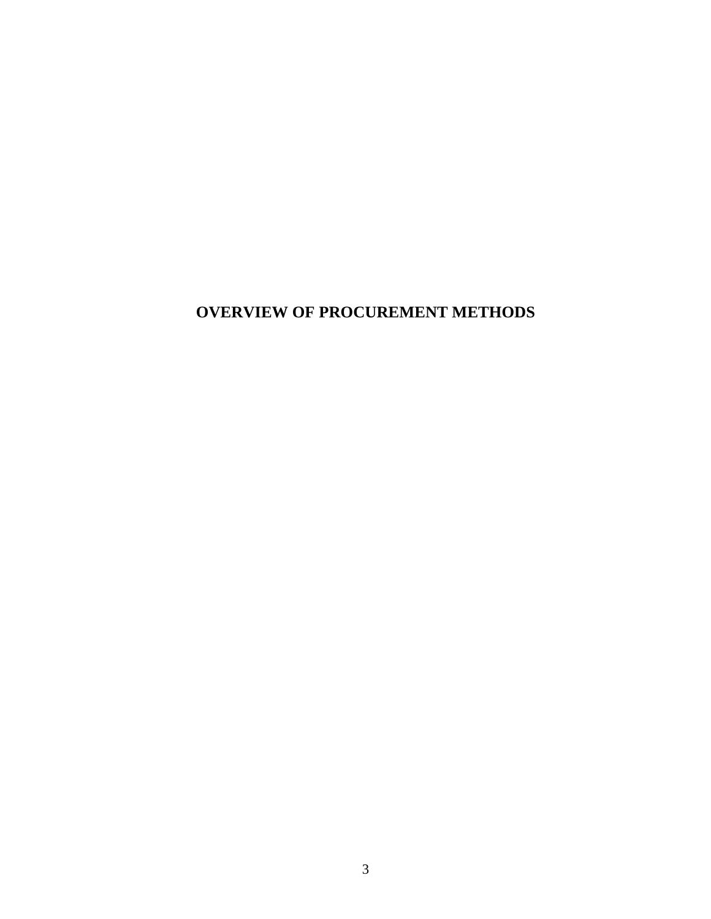# **OVERVIEW OF PROCUREMENT METHODS**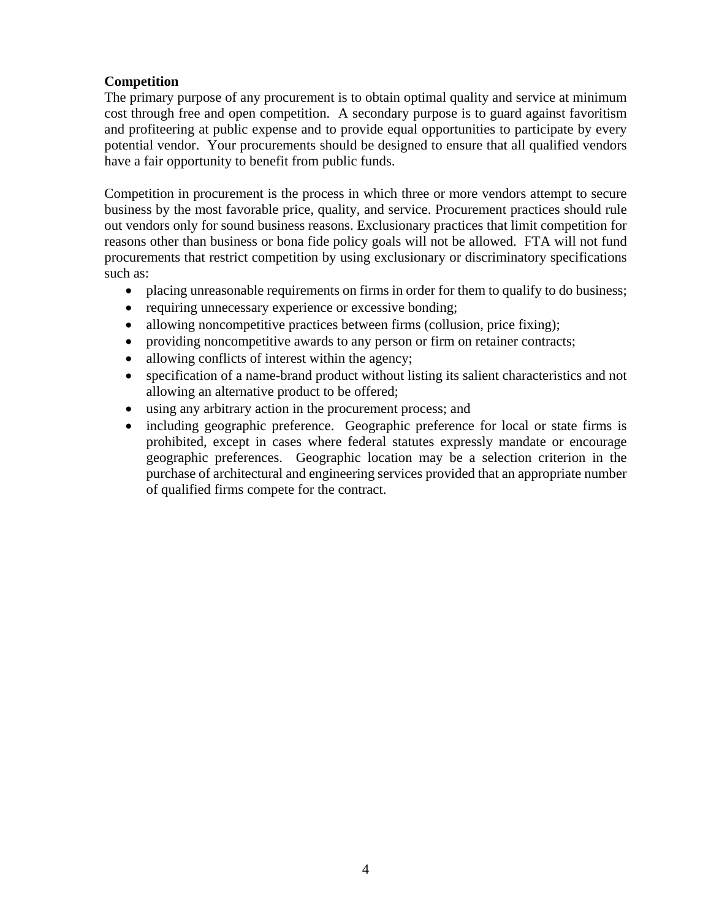#### **Competition**

The primary purpose of any procurement is to obtain optimal quality and service at minimum cost through free and open competition. A secondary purpose is to guard against favoritism and profiteering at public expense and to provide equal opportunities to participate by every potential vendor. Your procurements should be designed to ensure that all qualified vendors have a fair opportunity to benefit from public funds.

Competition in procurement is the process in which three or more vendors attempt to secure business by the most favorable price, quality, and service. Procurement practices should rule out vendors only for sound business reasons. Exclusionary practices that limit competition for reasons other than business or bona fide policy goals will not be allowed. FTA will not fund procurements that restrict competition by using exclusionary or discriminatory specifications such as:

- placing unreasonable requirements on firms in order for them to qualify to do business;
- requiring unnecessary experience or excessive bonding;
- allowing noncompetitive practices between firms (collusion, price fixing);
- providing noncompetitive awards to any person or firm on retainer contracts;
- allowing conflicts of interest within the agency;
- specification of a name-brand product without listing its salient characteristics and not allowing an alternative product to be offered;
- using any arbitrary action in the procurement process; and
- including geographic preference. Geographic preference for local or state firms is prohibited, except in cases where federal statutes expressly mandate or encourage geographic preferences. Geographic location may be a selection criterion in the purchase of architectural and engineering services provided that an appropriate number of qualified firms compete for the contract.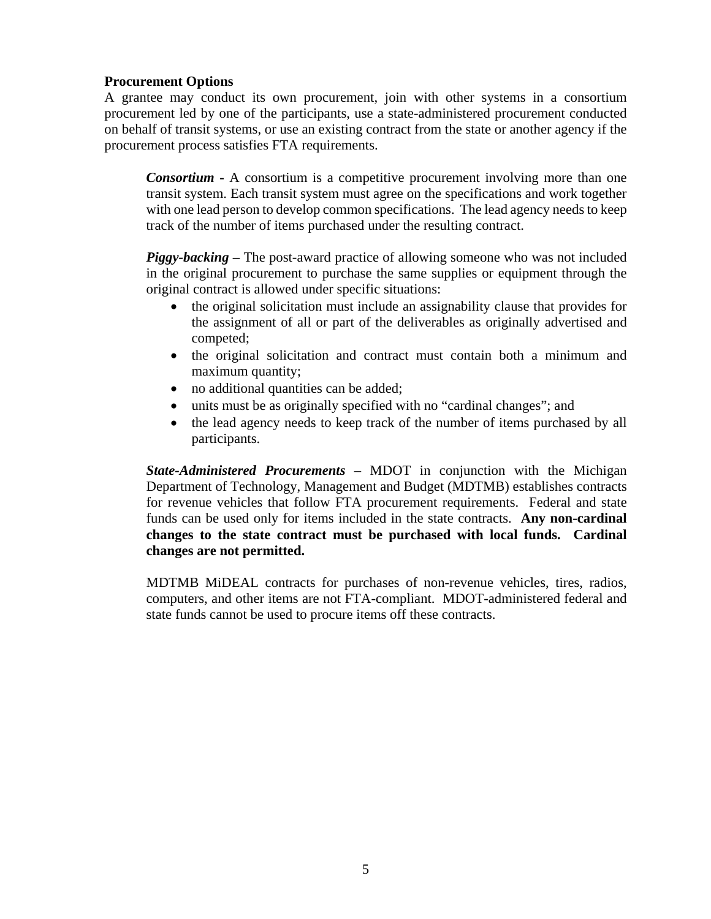#### **Procurement Options**

A grantee may conduct its own procurement, join with other systems in a consortium procurement led by one of the participants, use a state-administered procurement conducted on behalf of transit systems, or use an existing contract from the state or another agency if the procurement process satisfies FTA requirements.

*Consortium* - A consortium is a competitive procurement involving more than one transit system. Each transit system must agree on the specifications and work together with one lead person to develop common specifications. The lead agency needs to keep track of the number of items purchased under the resulting contract.

*Piggy-backing* – The post-award practice of allowing someone who was not included in the original procurement to purchase the same supplies or equipment through the original contract is allowed under specific situations:

- the original solicitation must include an assignability clause that provides for the assignment of all or part of the deliverables as originally advertised and competed;
- the original solicitation and contract must contain both a minimum and maximum quantity;
- no additional quantities can be added;
- units must be as originally specified with no "cardinal changes"; and
- the lead agency needs to keep track of the number of items purchased by all participants.

*State-Administered Procurements* – MDOT in conjunction with the Michigan Department of Technology, Management and Budget (MDTMB) establishes contracts for revenue vehicles that follow FTA procurement requirements. Federal and state funds can be used only for items included in the state contracts. **Any non-cardinal changes to the state contract must be purchased with local funds. Cardinal changes are not permitted.** 

MDTMB MiDEAL contracts for purchases of non-revenue vehicles, tires, radios, computers, and other items are not FTA-compliant. MDOT-administered federal and state funds cannot be used to procure items off these contracts.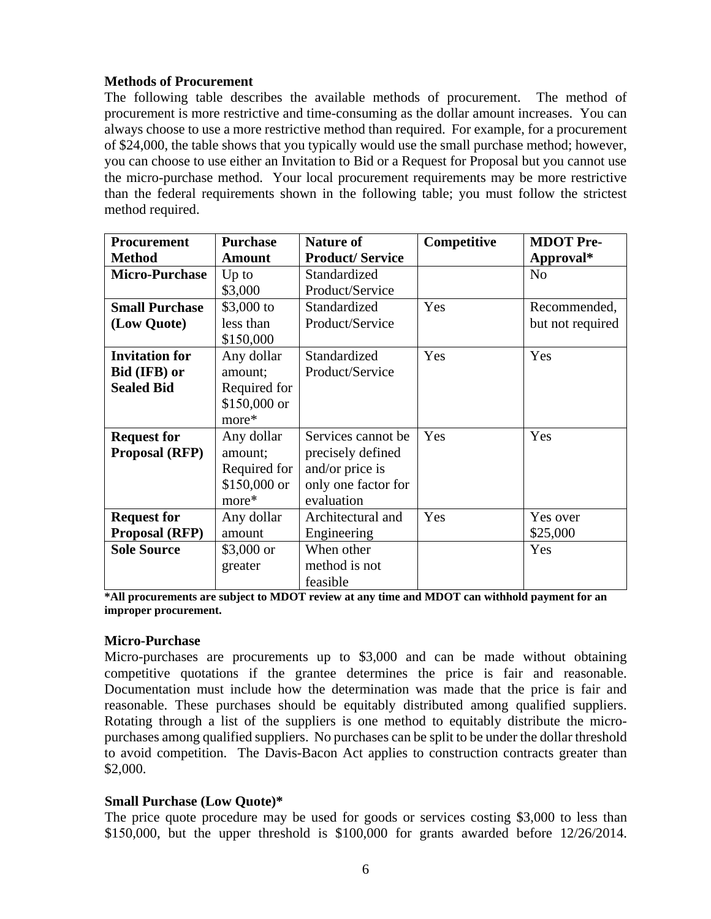#### **Methods of Procurement**

The following table describes the available methods of procurement. The method of procurement is more restrictive and time-consuming as the dollar amount increases. You can always choose to use a more restrictive method than required. For example, for a procurement of \$24,000, the table shows that you typically would use the small purchase method; however, you can choose to use either an Invitation to Bid or a Request for Proposal but you cannot use the micro-purchase method. Your local procurement requirements may be more restrictive than the federal requirements shown in the following table; you must follow the strictest method required.

| <b>Procurement</b>    | <b>Purchase</b> | <b>Nature of</b>       | Competitive | <b>MDOT</b> Pre- |
|-----------------------|-----------------|------------------------|-------------|------------------|
| <b>Method</b>         | <b>Amount</b>   | <b>Product/Service</b> |             | Approval*        |
| <b>Micro-Purchase</b> | $Up$ to         | Standardized           |             | N <sub>o</sub>   |
|                       | \$3,000         | Product/Service        |             |                  |
| <b>Small Purchase</b> | \$3,000 to      | Standardized           | Yes         | Recommended,     |
| (Low Quote)           | less than       | Product/Service        |             | but not required |
|                       | \$150,000       |                        |             |                  |
| <b>Invitation for</b> | Any dollar      | Standardized           | Yes         | Yes              |
| Bid (IFB) or          | amount;         | Product/Service        |             |                  |
| <b>Sealed Bid</b>     | Required for    |                        |             |                  |
|                       | \$150,000 or    |                        |             |                  |
|                       | more*           |                        |             |                  |
| <b>Request for</b>    | Any dollar      | Services cannot be     | Yes         | Yes              |
| <b>Proposal (RFP)</b> | amount;         | precisely defined      |             |                  |
|                       | Required for    | and/or price is        |             |                  |
|                       | \$150,000 or    | only one factor for    |             |                  |
|                       | more*           | evaluation             |             |                  |
| <b>Request for</b>    | Any dollar      | Architectural and      | Yes         | Yes over         |
| <b>Proposal (RFP)</b> | amount          | Engineering            |             | \$25,000         |
| <b>Sole Source</b>    | $$3,000$ or     | When other             |             | Yes              |
|                       | greater         | method is not          |             |                  |
|                       |                 | feasible               |             |                  |

**\*All procurements are subject to MDOT review at any time and MDOT can withhold payment for an improper procurement.** 

#### **Micro-Purchase**

Micro-purchases are procurements up to \$3,000 and can be made without obtaining competitive quotations if the grantee determines the price is fair and reasonable. Documentation must include how the determination was made that the price is fair and reasonable. These purchases should be equitably distributed among qualified suppliers. Rotating through a list of the suppliers is one method to equitably distribute the micropurchases among qualified suppliers. No purchases can be split to be under the dollar threshold to avoid competition. The Davis-Bacon Act applies to construction contracts greater than \$2,000.

#### **Small Purchase (Low Quote)\***

The price quote procedure may be used for goods or services costing \$3,000 to less than \$150,000, but the upper threshold is \$100,000 for grants awarded before 12/26/2014.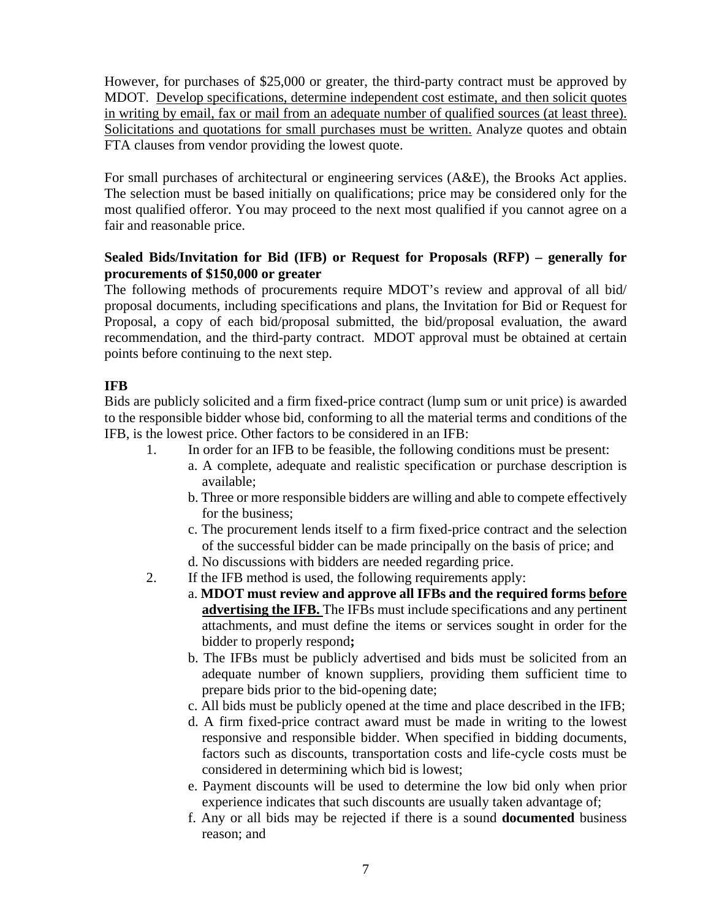However, for purchases of \$25,000 or greater, the third-party contract must be approved by MDOT. Develop specifications, determine independent cost estimate, and then solicit quotes in writing by email, fax or mail from an adequate number of qualified sources (at least three). Solicitations and quotations for small purchases must be written. Analyze quotes and obtain FTA clauses from vendor providing the lowest quote.

For small purchases of architectural or engineering services (A&E), the Brooks Act applies. The selection must be based initially on qualifications; price may be considered only for the most qualified offeror. You may proceed to the next most qualified if you cannot agree on a fair and reasonable price.

# **Sealed Bids/Invitation for Bid (IFB) or Request for Proposals (RFP) – generally for procurements of \$150,000 or greater**

The following methods of procurements require MDOT's review and approval of all bid/ proposal documents, including specifications and plans, the Invitation for Bid or Request for Proposal, a copy of each bid/proposal submitted, the bid/proposal evaluation, the award recommendation, and the third-party contract. MDOT approval must be obtained at certain points before continuing to the next step.

# **IFB**

Bids are publicly solicited and a firm fixed-price contract (lump sum or unit price) is awarded to the responsible bidder whose bid, conforming to all the material terms and conditions of the IFB, is the lowest price. Other factors to be considered in an IFB:

- 1. In order for an IFB to be feasible, the following conditions must be present:
	- a. A complete, adequate and realistic specification or purchase description is available;
	- b. Three or more responsible bidders are willing and able to compete effectively for the business;
	- c. The procurement lends itself to a firm fixed-price contract and the selection of the successful bidder can be made principally on the basis of price; and
	- d. No discussions with bidders are needed regarding price.
- 2. If the IFB method is used, the following requirements apply:
	- a. **MDOT must review and approve all IFBs and the required forms before advertising the IFB.** The IFBs must include specifications and any pertinent attachments, and must define the items or services sought in order for the bidder to properly respond**;**
	- b. The IFBs must be publicly advertised and bids must be solicited from an adequate number of known suppliers, providing them sufficient time to prepare bids prior to the bid-opening date;
	- c. All bids must be publicly opened at the time and place described in the IFB;
	- d. A firm fixed-price contract award must be made in writing to the lowest responsive and responsible bidder. When specified in bidding documents, factors such as discounts, transportation costs and life-cycle costs must be considered in determining which bid is lowest;
	- e. Payment discounts will be used to determine the low bid only when prior experience indicates that such discounts are usually taken advantage of;
	- f. Any or all bids may be rejected if there is a sound **documented** business reason; and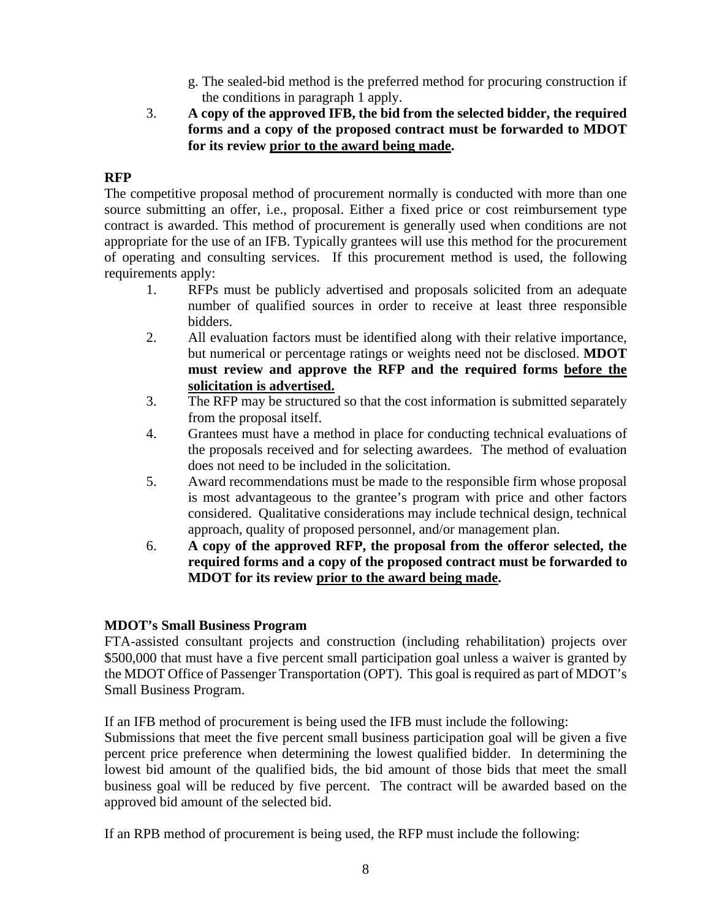- g. The sealed-bid method is the preferred method for procuring construction if the conditions in paragraph 1 apply.
- 3. **A copy of the approved IFB, the bid from the selected bidder, the required forms and a copy of the proposed contract must be forwarded to MDOT for its review prior to the award being made.**

# **RFP**

The competitive proposal method of procurement normally is conducted with more than one source submitting an offer, i.e., proposal. Either a fixed price or cost reimbursement type contract is awarded. This method of procurement is generally used when conditions are not appropriate for the use of an IFB. Typically grantees will use this method for the procurement of operating and consulting services. If this procurement method is used, the following requirements apply:

- 1. RFPs must be publicly advertised and proposals solicited from an adequate number of qualified sources in order to receive at least three responsible bidders.
- 2. All evaluation factors must be identified along with their relative importance, but numerical or percentage ratings or weights need not be disclosed. **MDOT must review and approve the RFP and the required forms before the solicitation is advertised.**
- 3. The RFP may be structured so that the cost information is submitted separately from the proposal itself.
- 4. Grantees must have a method in place for conducting technical evaluations of the proposals received and for selecting awardees. The method of evaluation does not need to be included in the solicitation.
- 5. Award recommendations must be made to the responsible firm whose proposal is most advantageous to the grantee's program with price and other factors considered. Qualitative considerations may include technical design, technical approach, quality of proposed personnel, and/or management plan.
- 6. **A copy of the approved RFP, the proposal from the offeror selected, the required forms and a copy of the proposed contract must be forwarded to MDOT for its review prior to the award being made.**

#### **MDOT's Small Business Program**

FTA-assisted consultant projects and construction (including rehabilitation) projects over \$500,000 that must have a five percent small participation goal unless a waiver is granted by the MDOT Office of Passenger Transportation (OPT). This goal is required as part of MDOT's Small Business Program.

If an IFB method of procurement is being used the IFB must include the following:

Submissions that meet the five percent small business participation goal will be given a five percent price preference when determining the lowest qualified bidder. In determining the lowest bid amount of the qualified bids, the bid amount of those bids that meet the small business goal will be reduced by five percent. The contract will be awarded based on the approved bid amount of the selected bid.

If an RPB method of procurement is being used, the RFP must include the following: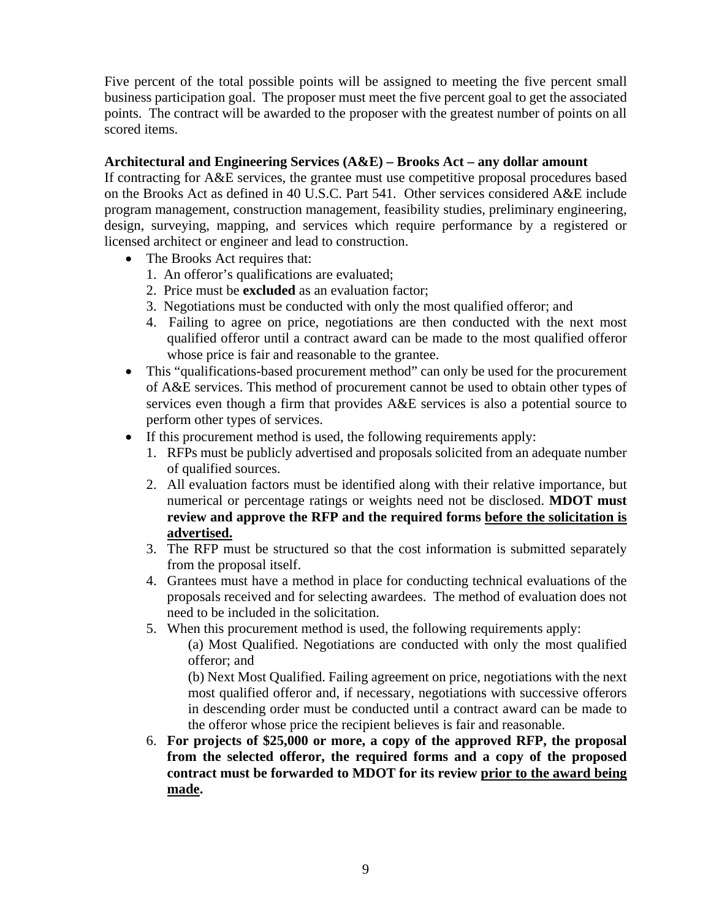Five percent of the total possible points will be assigned to meeting the five percent small business participation goal. The proposer must meet the five percent goal to get the associated points. The contract will be awarded to the proposer with the greatest number of points on all scored items.

#### **Architectural and Engineering Services (A&E) – Brooks Act – any dollar amount**

If contracting for A&E services, the grantee must use competitive proposal procedures based on the Brooks Act as defined in 40 U.S.C. Part 541. Other services considered A&E include program management, construction management, feasibility studies, preliminary engineering, design, surveying, mapping, and services which require performance by a registered or licensed architect or engineer and lead to construction.

- The Brooks Act requires that:
	- 1. An offeror's qualifications are evaluated;
	- 2. Price must be **excluded** as an evaluation factor;
	- 3. Negotiations must be conducted with only the most qualified offeror; and
	- 4. Failing to agree on price, negotiations are then conducted with the next most qualified offeror until a contract award can be made to the most qualified offeror whose price is fair and reasonable to the grantee.
- This "qualifications-based procurement method" can only be used for the procurement of A&E services. This method of procurement cannot be used to obtain other types of services even though a firm that provides A&E services is also a potential source to perform other types of services.
- If this procurement method is used, the following requirements apply:
	- 1. RFPs must be publicly advertised and proposals solicited from an adequate number of qualified sources.
	- 2. All evaluation factors must be identified along with their relative importance, but numerical or percentage ratings or weights need not be disclosed. **MDOT must review and approve the RFP and the required forms before the solicitation is advertised.**
	- 3. The RFP must be structured so that the cost information is submitted separately from the proposal itself.
	- 4. Grantees must have a method in place for conducting technical evaluations of the proposals received and for selecting awardees. The method of evaluation does not need to be included in the solicitation.
	- 5. When this procurement method is used, the following requirements apply:

(a) Most Qualified. Negotiations are conducted with only the most qualified offeror; and

(b) Next Most Qualified. Failing agreement on price, negotiations with the next most qualified offeror and, if necessary, negotiations with successive offerors in descending order must be conducted until a contract award can be made to the offeror whose price the recipient believes is fair and reasonable.

6. **For projects of \$25,000 or more, a copy of the approved RFP, the proposal from the selected offeror, the required forms and a copy of the proposed contract must be forwarded to MDOT for its review prior to the award being made.**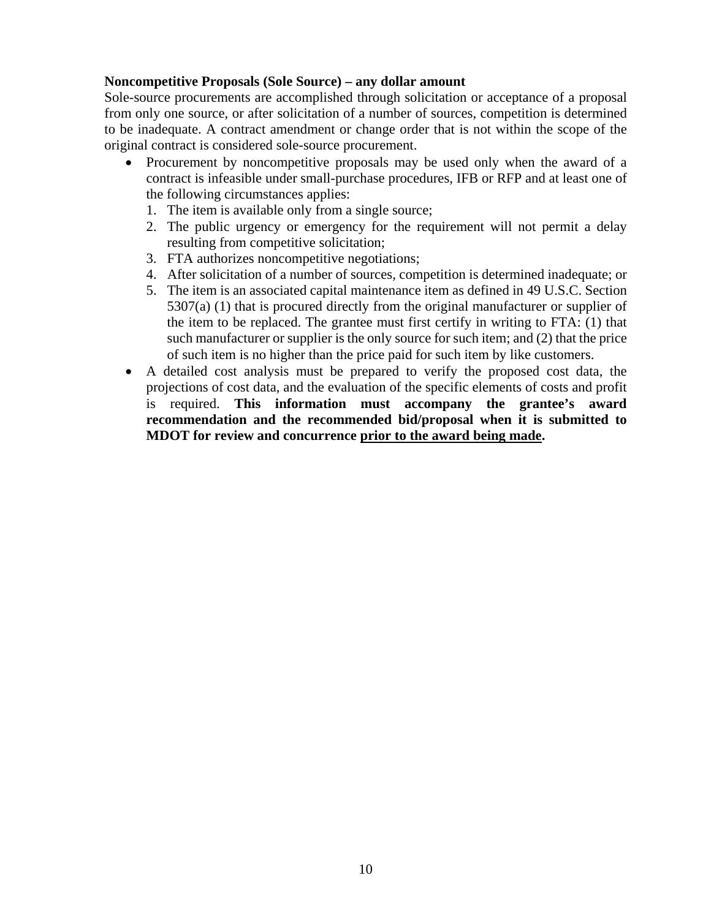#### **Noncompetitive Proposals (Sole Source) – any dollar amount**

Sole-source procurements are accomplished through solicitation or acceptance of a proposal from only one source, or after solicitation of a number of sources, competition is determined to be inadequate. A contract amendment or change order that is not within the scope of the original contract is considered sole-source procurement.

- Procurement by noncompetitive proposals may be used only when the award of a contract is infeasible under small-purchase procedures, IFB or RFP and at least one of the following circumstances applies:
	- 1. The item is available only from a single source;
	- 2. The public urgency or emergency for the requirement will not permit a delay resulting from competitive solicitation;
	- 3. FTA authorizes noncompetitive negotiations;
	- 4. After solicitation of a number of sources, competition is determined inadequate; or
	- 5. The item is an associated capital maintenance item as defined in 49 U.S.C. Section 5307(a) (1) that is procured directly from the original manufacturer or supplier of the item to be replaced. The grantee must first certify in writing to FTA: (1) that such manufacturer or supplier is the only source for such item; and (2) that the price of such item is no higher than the price paid for such item by like customers.
- A detailed cost analysis must be prepared to verify the proposed cost data, the projections of cost data, and the evaluation of the specific elements of costs and profit is required. **This information must accompany the grantee's award recommendation and the recommended bid/proposal when it is submitted to MDOT for review and concurrence prior to the award being made.**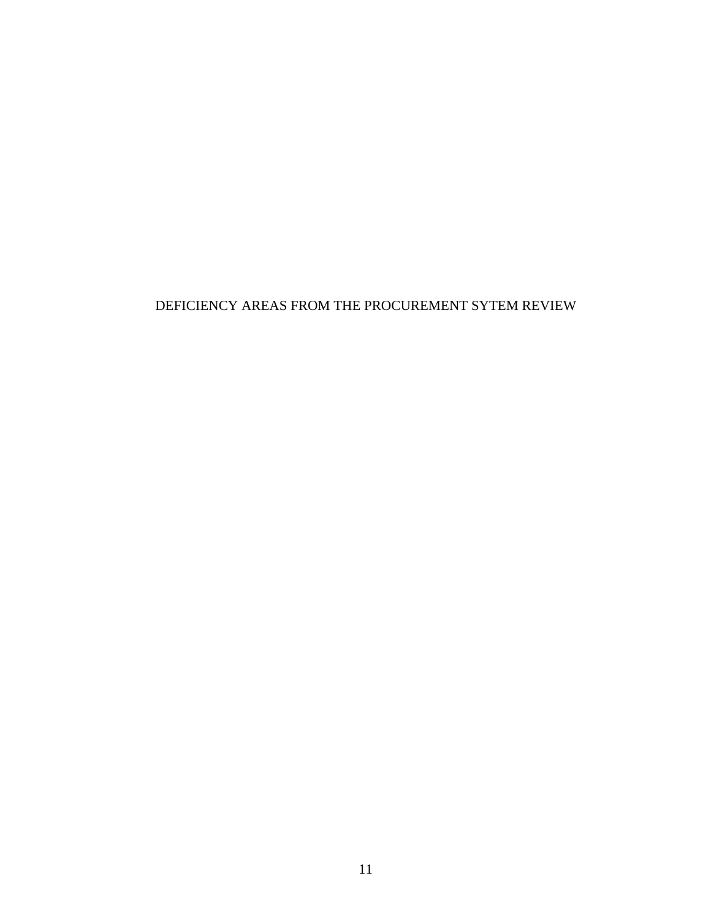# DEFICIENCY AREAS FROM THE PROCUREMENT SYTEM REVIEW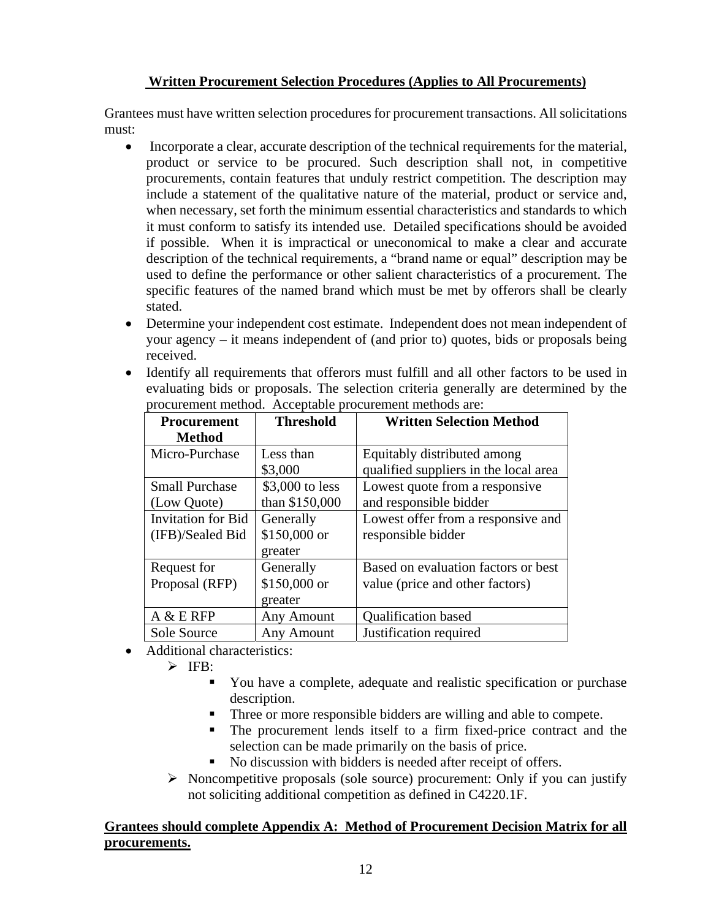# **Written Procurement Selection Procedures (Applies to All Procurements)**

Grantees must have written selection procedures for procurement transactions. All solicitations must:

- Incorporate a clear, accurate description of the technical requirements for the material, product or service to be procured. Such description shall not, in competitive procurements, contain features that unduly restrict competition. The description may include a statement of the qualitative nature of the material, product or service and, when necessary, set forth the minimum essential characteristics and standards to which it must conform to satisfy its intended use. Detailed specifications should be avoided if possible. When it is impractical or uneconomical to make a clear and accurate description of the technical requirements, a "brand name or equal" description may be used to define the performance or other salient characteristics of a procurement. The specific features of the named brand which must be met by offerors shall be clearly stated.
- Determine your independent cost estimate. Independent does not mean independent of your agency – it means independent of (and prior to) quotes, bids or proposals being received.
- Identify all requirements that offerors must fulfill and all other factors to be used in evaluating bids or proposals. The selection criteria generally are determined by the procurement method. Acceptable procurement methods are:

| <b>Procurement</b>        | <b>Threshold</b>  | <b>Written Selection Method</b>       |
|---------------------------|-------------------|---------------------------------------|
| <b>Method</b>             |                   |                                       |
| Micro-Purchase            | Less than         | Equitably distributed among           |
|                           | \$3,000           | qualified suppliers in the local area |
| <b>Small Purchase</b>     | \$3,000 to less   | Lowest quote from a responsive        |
| (Low Quote)               | than \$150,000    | and responsible bidder                |
| <b>Invitation for Bid</b> | Generally         | Lowest offer from a responsive and    |
| (IFB)/Sealed Bid          | \$150,000 or      | responsible bidder                    |
|                           | greater           |                                       |
| Request for               | Generally         | Based on evaluation factors or best   |
| Proposal (RFP)            | \$150,000 or      | value (price and other factors)       |
|                           | greater           |                                       |
| A & E RFP                 | <b>Any Amount</b> | Qualification based                   |
| Sole Source               | <b>Any Amount</b> | Justification required                |

Additional characteristics:

 $\triangleright$  IFB:

- You have a complete, adequate and realistic specification or purchase description.
- Three or more responsible bidders are willing and able to compete.
- The procurement lends itself to a firm fixed-price contract and the selection can be made primarily on the basis of price.
- No discussion with bidders is needed after receipt of offers.
- $\triangleright$  Noncompetitive proposals (sole source) procurement: Only if you can justify not soliciting additional competition as defined in C4220.1F.

# **Grantees should complete Appendix A: Method of Procurement Decision Matrix for all procurements.**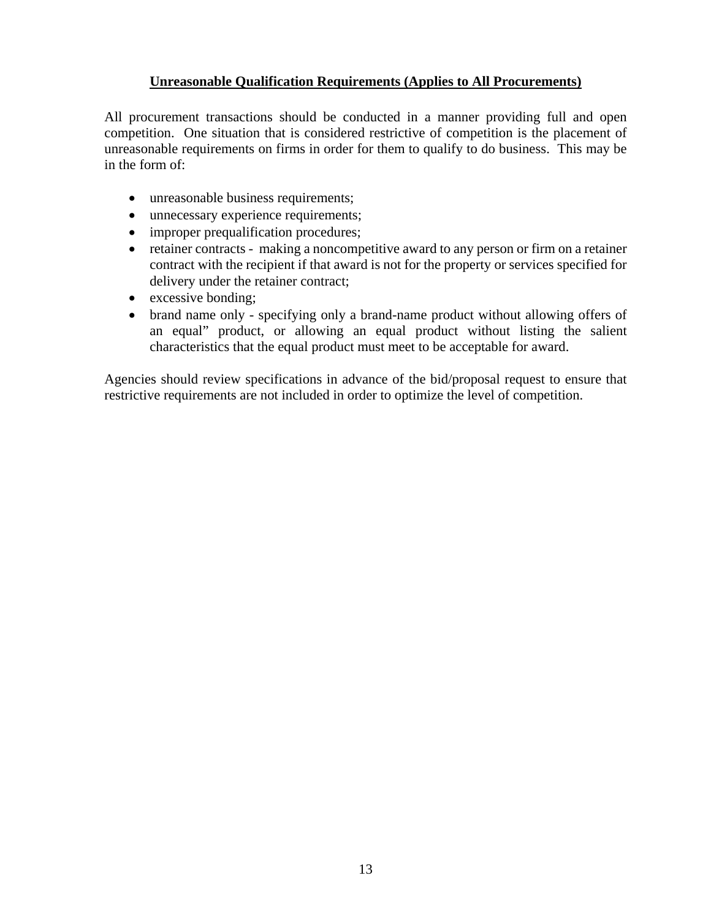### **Unreasonable Qualification Requirements (Applies to All Procurements)**

All procurement transactions should be conducted in a manner providing full and open competition. One situation that is considered restrictive of competition is the placement of unreasonable requirements on firms in order for them to qualify to do business. This may be in the form of:

- unreasonable business requirements;
- unnecessary experience requirements;
- improper prequalification procedures;
- retainer contracts making a noncompetitive award to any person or firm on a retainer contract with the recipient if that award is not for the property or services specified for delivery under the retainer contract;
- excessive bonding;
- brand name only specifying only a brand-name product without allowing offers of an equal" product, or allowing an equal product without listing the salient characteristics that the equal product must meet to be acceptable for award.

Agencies should review specifications in advance of the bid/proposal request to ensure that restrictive requirements are not included in order to optimize the level of competition.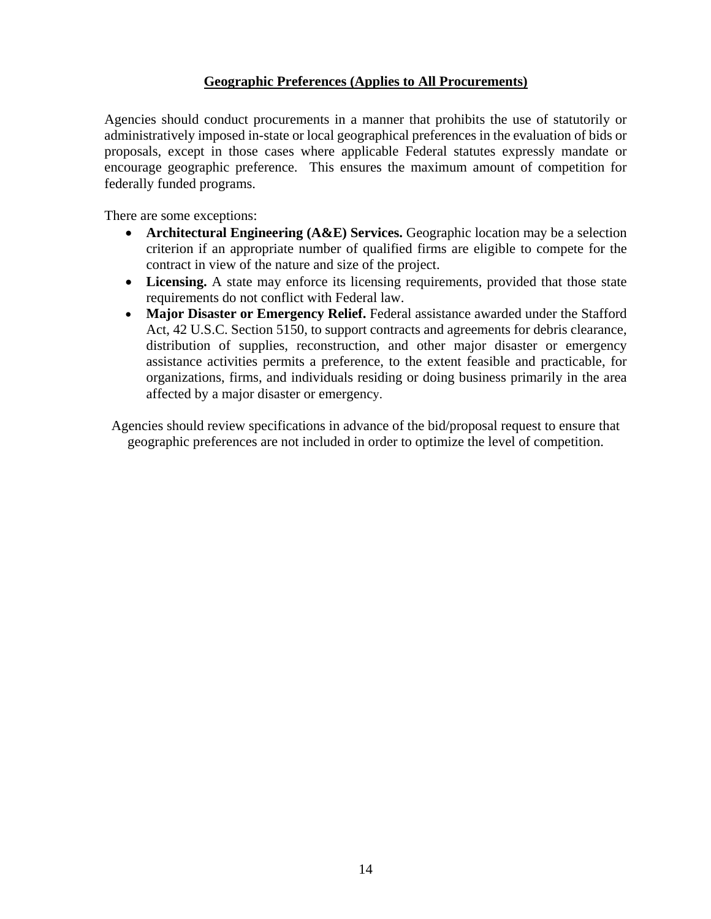#### **Geographic Preferences (Applies to All Procurements)**

Agencies should conduct procurements in a manner that prohibits the use of statutorily or administratively imposed in-state or local geographical preferences in the evaluation of bids or proposals, except in those cases where applicable Federal statutes expressly mandate or encourage geographic preference. This ensures the maximum amount of competition for federally funded programs.

There are some exceptions:

- **Architectural Engineering (A&E) Services.** Geographic location may be a selection criterion if an appropriate number of qualified firms are eligible to compete for the contract in view of the nature and size of the project.
- Licensing. A state may enforce its licensing requirements, provided that those state requirements do not conflict with Federal law.
- **Major Disaster or Emergency Relief.** Federal assistance awarded under the Stafford Act, 42 U.S.C. Section 5150, to support contracts and agreements for debris clearance, distribution of supplies, reconstruction, and other major disaster or emergency assistance activities permits a preference, to the extent feasible and practicable, for organizations, firms, and individuals residing or doing business primarily in the area affected by a major disaster or emergency.

Agencies should review specifications in advance of the bid/proposal request to ensure that geographic preferences are not included in order to optimize the level of competition.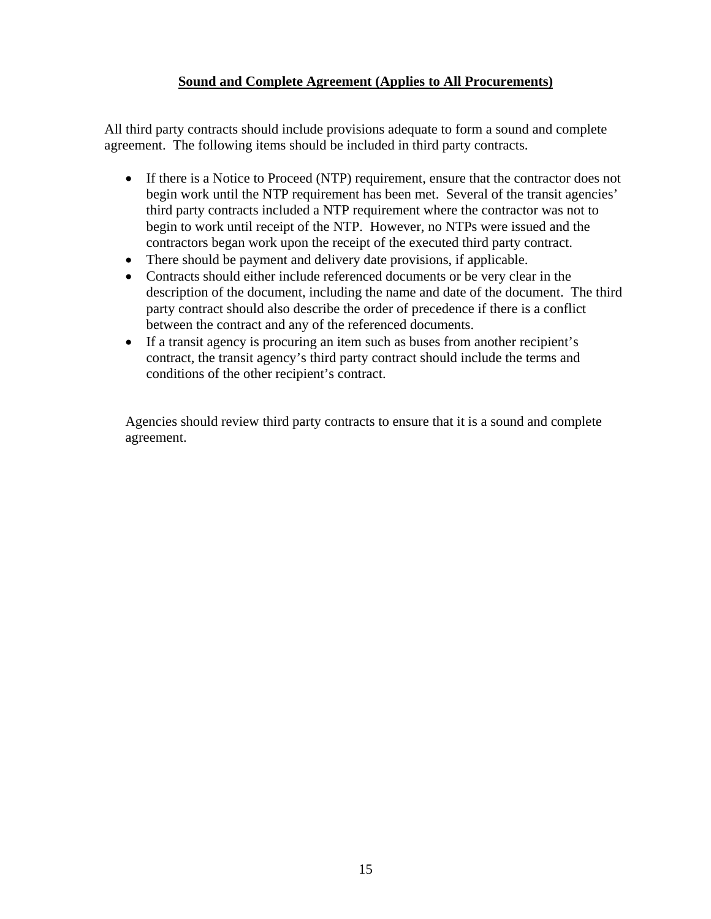#### **Sound and Complete Agreement (Applies to All Procurements)**

All third party contracts should include provisions adequate to form a sound and complete agreement. The following items should be included in third party contracts.

- If there is a Notice to Proceed (NTP) requirement, ensure that the contractor does not begin work until the NTP requirement has been met. Several of the transit agencies' third party contracts included a NTP requirement where the contractor was not to begin to work until receipt of the NTP. However, no NTPs were issued and the contractors began work upon the receipt of the executed third party contract.
- There should be payment and delivery date provisions, if applicable.
- Contracts should either include referenced documents or be very clear in the description of the document, including the name and date of the document. The third party contract should also describe the order of precedence if there is a conflict between the contract and any of the referenced documents.
- If a transit agency is procuring an item such as buses from another recipient's contract, the transit agency's third party contract should include the terms and conditions of the other recipient's contract.

Agencies should review third party contracts to ensure that it is a sound and complete agreement.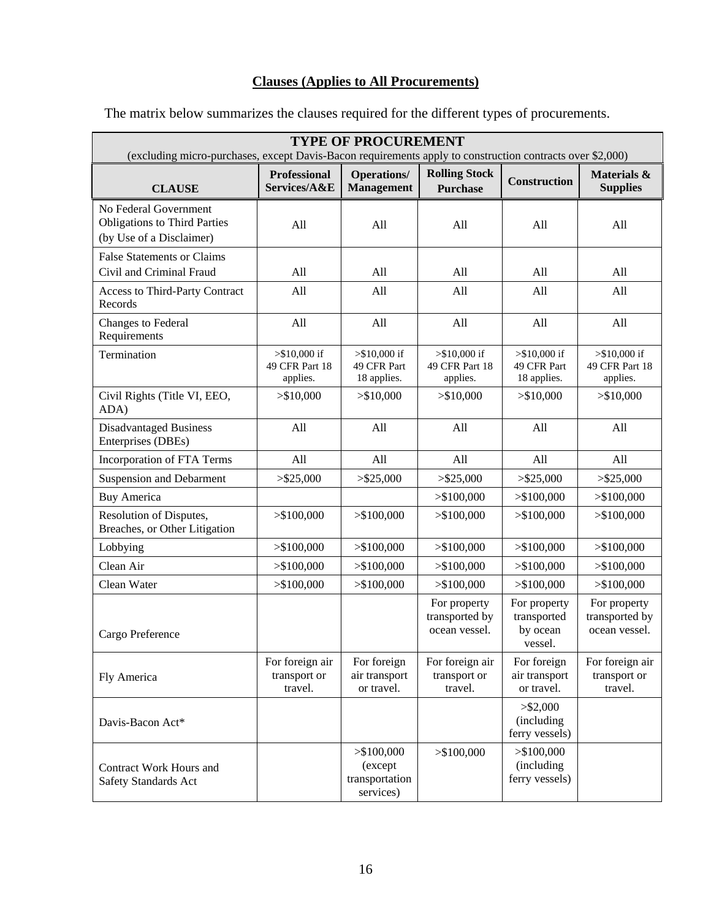# **Clauses (Applies to All Procurements)**

| <b>TYPE OF PROCUREMENT</b>                                                                                |                                              |                                                       |                                                 |                                                    |                                                 |
|-----------------------------------------------------------------------------------------------------------|----------------------------------------------|-------------------------------------------------------|-------------------------------------------------|----------------------------------------------------|-------------------------------------------------|
| (excluding micro-purchases, except Davis-Bacon requirements apply to construction contracts over \$2,000) |                                              |                                                       |                                                 |                                                    |                                                 |
| <b>CLAUSE</b>                                                                                             | <b>Professional</b><br>Services/A&E          | <b>Operations/</b><br><b>Management</b>               | <b>Rolling Stock</b><br><b>Purchase</b>         | <b>Construction</b>                                | Materials &<br><b>Supplies</b>                  |
| No Federal Government<br><b>Obligations to Third Parties</b><br>(by Use of a Disclaimer)                  | All                                          | All                                                   | All                                             | All                                                | All                                             |
| <b>False Statements or Claims</b><br>Civil and Criminal Fraud                                             | All                                          | All                                                   | All                                             | All                                                | All                                             |
| Access to Third-Party Contract<br>Records                                                                 | All                                          | All                                                   | All                                             | All                                                | All                                             |
| Changes to Federal<br>Requirements                                                                        | All                                          | All                                                   | All                                             | All                                                | All                                             |
| Termination                                                                                               | $> $10,000$ if<br>49 CFR Part 18<br>applies. | $> $10,000$ if<br>49 CFR Part<br>18 applies.          | $> $10,000$ if<br>49 CFR Part 18<br>applies.    | $> $10,000$ if<br>49 CFR Part<br>18 applies.       | $> $10,000$ if<br>49 CFR Part 18<br>applies.    |
| Civil Rights (Title VI, EEO,<br>ADA)                                                                      | > \$10,000                                   | > \$10,000                                            | > \$10,000                                      | > \$10,000                                         | > \$10,000                                      |
| <b>Disadvantaged Business</b><br>Enterprises (DBEs)                                                       | All                                          | All                                                   | All                                             | All                                                | All                                             |
| Incorporation of FTA Terms                                                                                | All                                          | All                                                   | All                                             | All                                                | All                                             |
| <b>Suspension and Debarment</b>                                                                           | $>$ \$25,000                                 | > \$25,000                                            | $>$ \$25,000                                    | > \$25,000                                         | > \$25,000                                      |
| <b>Buy America</b>                                                                                        |                                              |                                                       | > \$100,000                                     | > \$100,000                                        | > \$100,000                                     |
| Resolution of Disputes,<br>Breaches, or Other Litigation                                                  | > \$100,000                                  | > \$100,000                                           | > \$100,000                                     | > \$100,000                                        | > \$100,000                                     |
| Lobbying                                                                                                  | > \$100,000                                  | > \$100,000                                           | > \$100,000                                     | > \$100,000                                        | > \$100,000                                     |
| Clean Air                                                                                                 | > \$100,000                                  | > \$100,000                                           | > \$100,000                                     | > \$100,000                                        | > \$100,000                                     |
| Clean Water                                                                                               | > \$100,000                                  | > \$100,000                                           | > \$100,000                                     | > \$100,000                                        | > \$100,000                                     |
| Cargo Preference                                                                                          |                                              |                                                       | For property<br>transported by<br>ocean vessel. | For property<br>transported<br>by ocean<br>vessel. | For property<br>transported by<br>ocean vessel. |
| Fly America                                                                                               | For foreign air<br>transport or<br>travel.   | For foreign<br>air transport<br>or travel.            | For foreign air<br>transport or<br>travel.      | For foreign<br>air transport<br>or travel.         | For foreign air<br>transport or<br>travel.      |
| Davis-Bacon Act*                                                                                          |                                              |                                                       |                                                 | $>$ \$2,000<br>(including<br>ferry vessels)        |                                                 |
| Contract Work Hours and<br>Safety Standards Act                                                           |                                              | > \$100,000<br>(except<br>transportation<br>services) | > \$100,000                                     | > \$100,000<br>(including<br>ferry vessels)        |                                                 |

The matrix below summarizes the clauses required for the different types of procurements.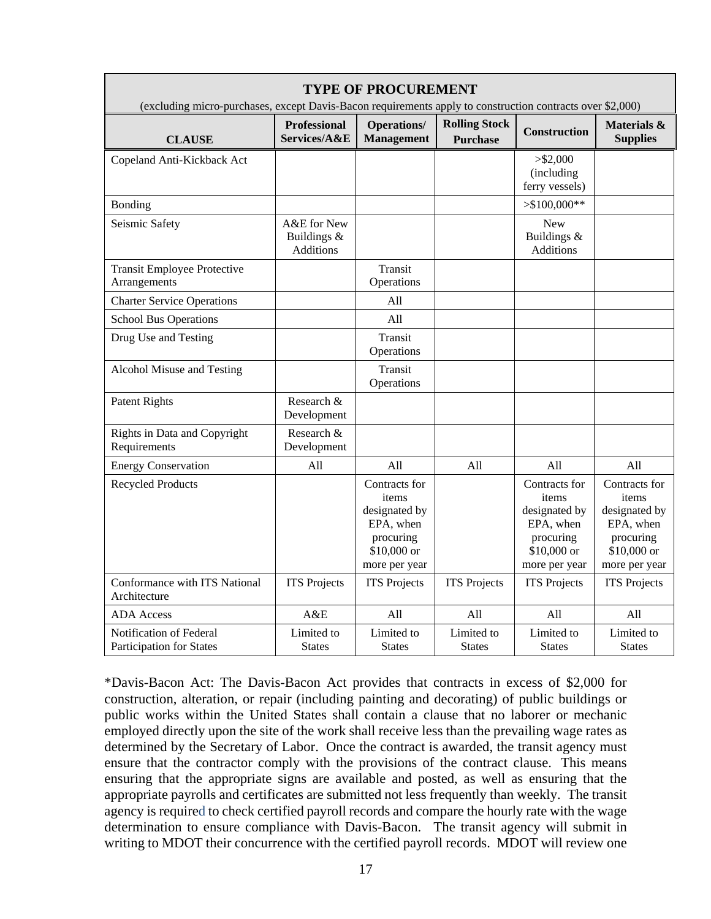| <b>TYPE OF PROCUREMENT</b><br>(excluding micro-purchases, except Davis-Bacon requirements apply to construction contracts over \$2,000) |                                         |                                                                                                   |                                         |                                                                                                   |                                                                                                   |
|-----------------------------------------------------------------------------------------------------------------------------------------|-----------------------------------------|---------------------------------------------------------------------------------------------------|-----------------------------------------|---------------------------------------------------------------------------------------------------|---------------------------------------------------------------------------------------------------|
| <b>CLAUSE</b>                                                                                                                           | <b>Professional</b><br>Services/A&E     | <b>Operations/</b><br><b>Management</b>                                                           | <b>Rolling Stock</b><br><b>Purchase</b> | <b>Construction</b>                                                                               | Materials &<br><b>Supplies</b>                                                                    |
| Copeland Anti-Kickback Act                                                                                                              |                                         |                                                                                                   |                                         | $>$ \$2,000<br>(including<br>ferry vessels)                                                       |                                                                                                   |
| Bonding                                                                                                                                 |                                         |                                                                                                   |                                         | $> $100,000**$                                                                                    |                                                                                                   |
| Seismic Safety                                                                                                                          | A&E for New<br>Buildings &<br>Additions |                                                                                                   |                                         | <b>New</b><br>Buildings &<br>Additions                                                            |                                                                                                   |
| <b>Transit Employee Protective</b><br>Arrangements                                                                                      |                                         | Transit<br>Operations                                                                             |                                         |                                                                                                   |                                                                                                   |
| <b>Charter Service Operations</b>                                                                                                       |                                         | All                                                                                               |                                         |                                                                                                   |                                                                                                   |
| <b>School Bus Operations</b>                                                                                                            |                                         | All                                                                                               |                                         |                                                                                                   |                                                                                                   |
| Drug Use and Testing                                                                                                                    |                                         | Transit<br>Operations                                                                             |                                         |                                                                                                   |                                                                                                   |
| Alcohol Misuse and Testing                                                                                                              |                                         | Transit<br>Operations                                                                             |                                         |                                                                                                   |                                                                                                   |
| <b>Patent Rights</b>                                                                                                                    | Research &<br>Development               |                                                                                                   |                                         |                                                                                                   |                                                                                                   |
| Rights in Data and Copyright<br>Requirements                                                                                            | Research &<br>Development               |                                                                                                   |                                         |                                                                                                   |                                                                                                   |
| <b>Energy Conservation</b>                                                                                                              | All                                     | All                                                                                               | All                                     | All                                                                                               | All                                                                                               |
| <b>Recycled Products</b>                                                                                                                |                                         | Contracts for<br>items<br>designated by<br>EPA, when<br>procuring<br>\$10,000 or<br>more per year |                                         | Contracts for<br>items<br>designated by<br>EPA, when<br>procuring<br>\$10,000 or<br>more per year | Contracts for<br>items<br>designated by<br>EPA, when<br>procuring<br>\$10,000 or<br>more per year |
| Conformance with ITS National<br>Architecture                                                                                           | <b>ITS</b> Projects                     | <b>ITS</b> Projects                                                                               | <b>ITS</b> Projects                     | <b>ITS</b> Projects                                                                               | <b>ITS</b> Projects                                                                               |
| <b>ADA</b> Access                                                                                                                       | A&E                                     | All                                                                                               | All                                     | All                                                                                               | All                                                                                               |
| Notification of Federal<br>Participation for States                                                                                     | Limited to<br><b>States</b>             | Limited to<br><b>States</b>                                                                       | Limited to<br><b>States</b>             | Limited to<br><b>States</b>                                                                       | Limited to<br><b>States</b>                                                                       |

\*Davis-Bacon Act: The Davis-Bacon Act provides that contracts in excess of \$2,000 for construction, alteration, or repair (including painting and decorating) of public buildings or public works within the United States shall contain a clause that no laborer or mechanic employed directly upon the site of the work shall receive less than the prevailing wage rates as determined by the Secretary of Labor. Once the contract is awarded, the transit agency must ensure that the contractor comply with the provisions of the contract clause. This means ensuring that the appropriate signs are available and posted, as well as ensuring that the appropriate payrolls and certificates are submitted not less frequently than weekly. The transit agency is required to check certified payroll records and compare the hourly rate with the wage determination to ensure compliance with Davis-Bacon. The transit agency will submit in writing to MDOT their concurrence with the certified payroll records. MDOT will review one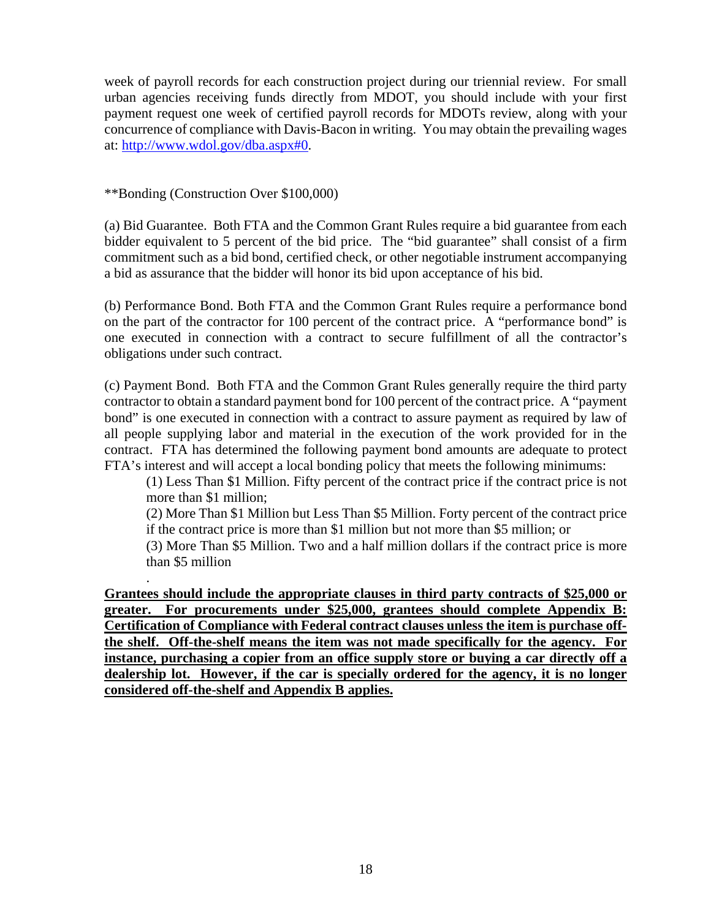week of payroll records for each construction project during our triennial review. For small urban agencies receiving funds directly from MDOT, you should include with your first payment request one week of certified payroll records for MDOTs review, along with your concurrence of compliance with Davis-Bacon in writing. You may obtain the prevailing wages at: http://www.wdol.gov/dba.aspx#0.

\*\*Bonding (Construction Over \$100,000)

.

(a) Bid Guarantee. Both FTA and the Common Grant Rules require a bid guarantee from each bidder equivalent to 5 percent of the bid price. The "bid guarantee" shall consist of a firm commitment such as a bid bond, certified check, or other negotiable instrument accompanying a bid as assurance that the bidder will honor its bid upon acceptance of his bid.

(b) Performance Bond. Both FTA and the Common Grant Rules require a performance bond on the part of the contractor for 100 percent of the contract price. A "performance bond" is one executed in connection with a contract to secure fulfillment of all the contractor's obligations under such contract.

(c) Payment Bond. Both FTA and the Common Grant Rules generally require the third party contractor to obtain a standard payment bond for 100 percent of the contract price. A "payment bond" is one executed in connection with a contract to assure payment as required by law of all people supplying labor and material in the execution of the work provided for in the contract. FTA has determined the following payment bond amounts are adequate to protect FTA's interest and will accept a local bonding policy that meets the following minimums:

(1) Less Than \$1 Million. Fifty percent of the contract price if the contract price is not more than \$1 million;

(2) More Than \$1 Million but Less Than \$5 Million. Forty percent of the contract price if the contract price is more than \$1 million but not more than \$5 million; or

(3) More Than \$5 Million. Two and a half million dollars if the contract price is more than \$5 million

**Grantees should include the appropriate clauses in third party contracts of \$25,000 or greater. For procurements under \$25,000, grantees should complete Appendix B: Certification of Compliance with Federal contract clauses unless the item is purchase offthe shelf. Off-the-shelf means the item was not made specifically for the agency. For instance, purchasing a copier from an office supply store or buying a car directly off a dealership lot. However, if the car is specially ordered for the agency, it is no longer considered off-the-shelf and Appendix B applies.**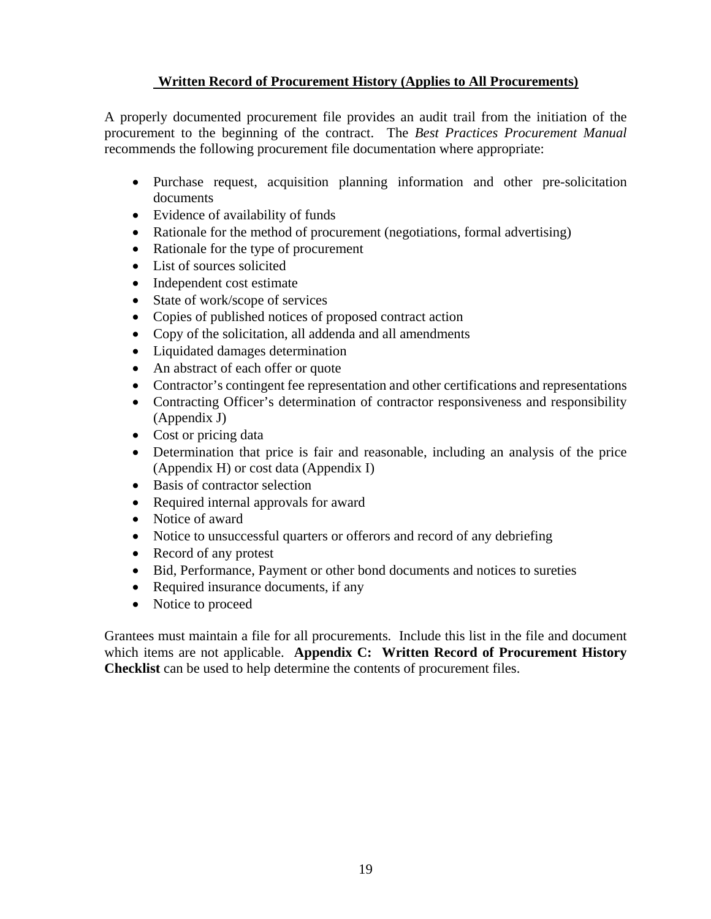# **Written Record of Procurement History (Applies to All Procurements)**

A properly documented procurement file provides an audit trail from the initiation of the procurement to the beginning of the contract. The *Best Practices Procurement Manual* recommends the following procurement file documentation where appropriate:

- Purchase request, acquisition planning information and other pre-solicitation documents
- Evidence of availability of funds
- Rationale for the method of procurement (negotiations, formal advertising)
- Rationale for the type of procurement
- List of sources solicited
- Independent cost estimate
- State of work/scope of services
- Copies of published notices of proposed contract action
- Copy of the solicitation, all addenda and all amendments
- Liquidated damages determination
- An abstract of each offer or quote
- Contractor's contingent fee representation and other certifications and representations
- Contracting Officer's determination of contractor responsiveness and responsibility (Appendix J)
- Cost or pricing data
- Determination that price is fair and reasonable, including an analysis of the price (Appendix H) or cost data (Appendix I)
- Basis of contractor selection
- Required internal approvals for award
- Notice of award
- Notice to unsuccessful quarters or offerors and record of any debriefing
- Record of any protest
- Bid, Performance, Payment or other bond documents and notices to sureties
- Required insurance documents, if any
- Notice to proceed

Grantees must maintain a file for all procurements. Include this list in the file and document which items are not applicable. **Appendix C: Written Record of Procurement History Checklist** can be used to help determine the contents of procurement files.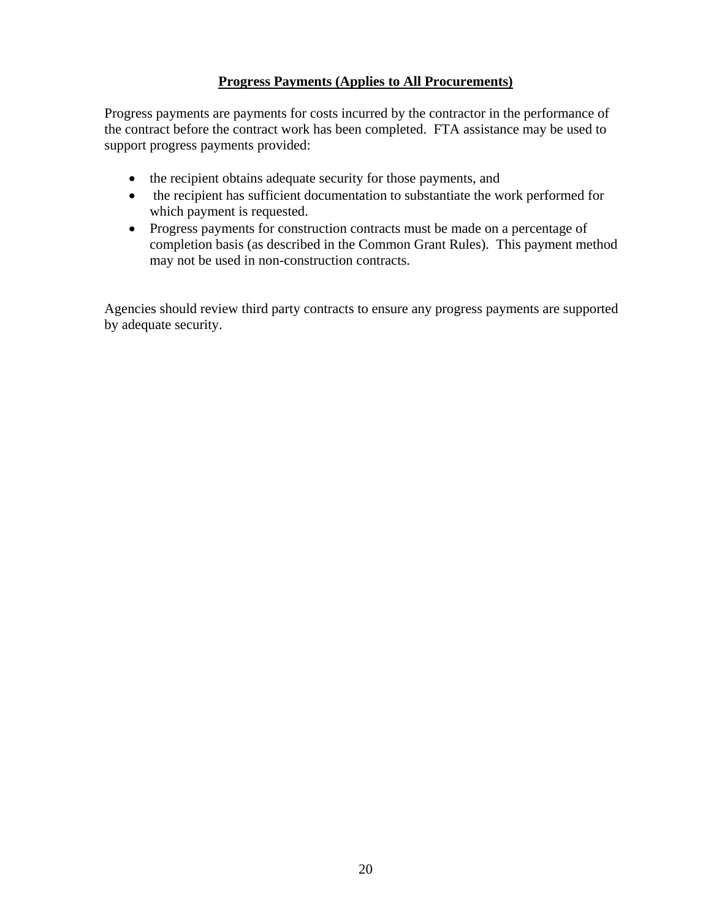### **Progress Payments (Applies to All Procurements)**

Progress payments are payments for costs incurred by the contractor in the performance of the contract before the contract work has been completed. FTA assistance may be used to support progress payments provided:

- the recipient obtains adequate security for those payments, and
- the recipient has sufficient documentation to substantiate the work performed for which payment is requested.
- Progress payments for construction contracts must be made on a percentage of completion basis (as described in the Common Grant Rules). This payment method may not be used in non-construction contracts.

Agencies should review third party contracts to ensure any progress payments are supported by adequate security.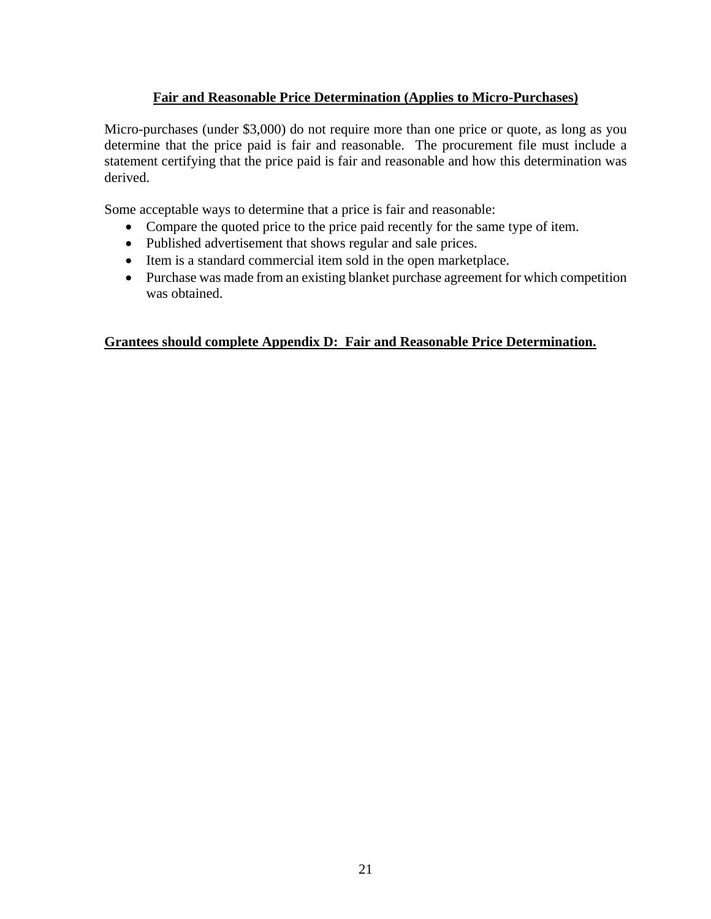### **Fair and Reasonable Price Determination (Applies to Micro-Purchases)**

Micro-purchases (under \$3,000) do not require more than one price or quote, as long as you determine that the price paid is fair and reasonable. The procurement file must include a statement certifying that the price paid is fair and reasonable and how this determination was derived.

Some acceptable ways to determine that a price is fair and reasonable:

- Compare the quoted price to the price paid recently for the same type of item.
- Published advertisement that shows regular and sale prices.
- Item is a standard commercial item sold in the open marketplace.
- Purchase was made from an existing blanket purchase agreement for which competition was obtained.

#### **Grantees should complete Appendix D: Fair and Reasonable Price Determination.**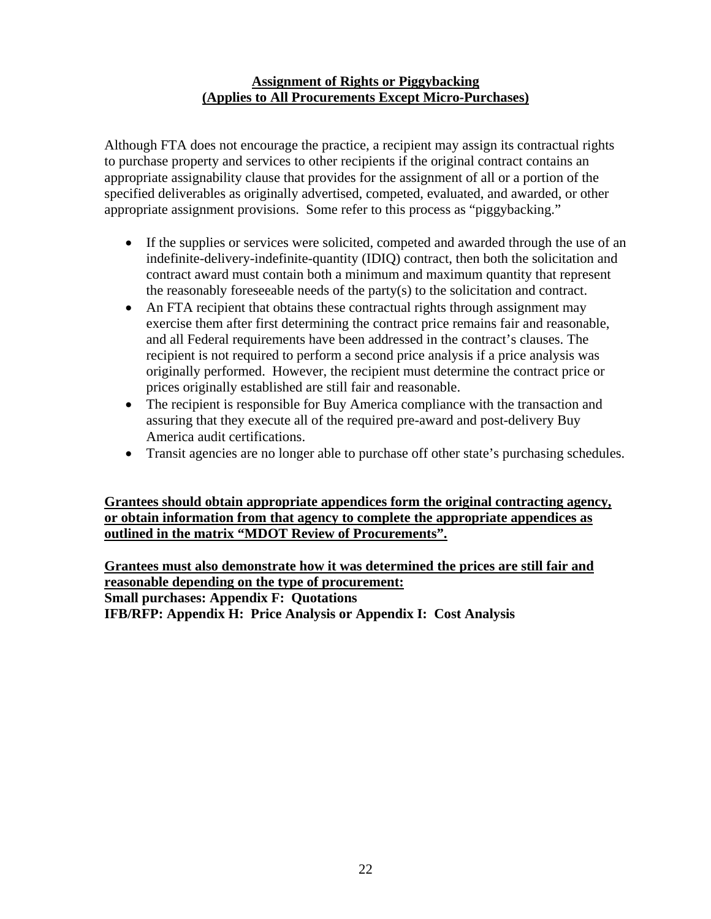#### **Assignment of Rights or Piggybacking (Applies to All Procurements Except Micro-Purchases)**

Although FTA does not encourage the practice, a recipient may assign its contractual rights to purchase property and services to other recipients if the original contract contains an appropriate assignability clause that provides for the assignment of all or a portion of the specified deliverables as originally advertised, competed, evaluated, and awarded, or other appropriate assignment provisions. Some refer to this process as "piggybacking."

- If the supplies or services were solicited, competed and awarded through the use of an indefinite-delivery-indefinite-quantity (IDIQ) contract, then both the solicitation and contract award must contain both a minimum and maximum quantity that represent the reasonably foreseeable needs of the party(s) to the solicitation and contract.
- An FTA recipient that obtains these contractual rights through assignment may exercise them after first determining the contract price remains fair and reasonable, and all Federal requirements have been addressed in the contract's clauses. The recipient is not required to perform a second price analysis if a price analysis was originally performed. However, the recipient must determine the contract price or prices originally established are still fair and reasonable.
- The recipient is responsible for Buy America compliance with the transaction and assuring that they execute all of the required pre-award and post-delivery Buy America audit certifications.
- Transit agencies are no longer able to purchase off other state's purchasing schedules.

**Grantees should obtain appropriate appendices form the original contracting agency, or obtain information from that agency to complete the appropriate appendices as outlined in the matrix "MDOT Review of Procurements".** 

**Grantees must also demonstrate how it was determined the prices are still fair and reasonable depending on the type of procurement: Small purchases: Appendix F: Quotations IFB/RFP: Appendix H: Price Analysis or Appendix I: Cost Analysis**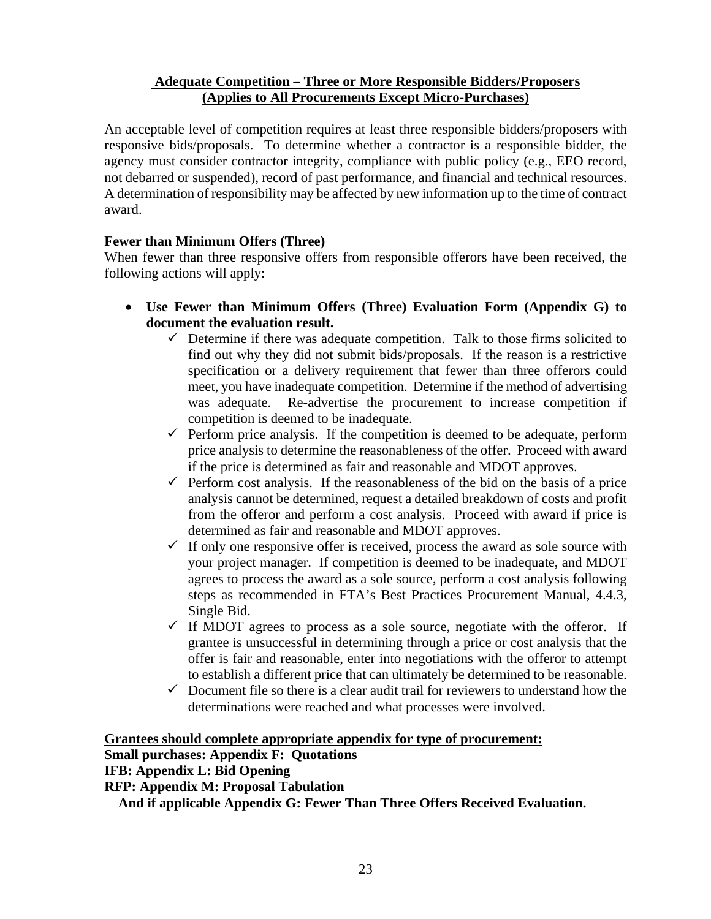#### **Adequate Competition – Three or More Responsible Bidders/Proposers (Applies to All Procurements Except Micro-Purchases)**

An acceptable level of competition requires at least three responsible bidders/proposers with responsive bids/proposals. To determine whether a contractor is a responsible bidder, the agency must consider contractor integrity, compliance with public policy (e.g., EEO record, not debarred or suspended), record of past performance, and financial and technical resources. A determination of responsibility may be affected by new information up to the time of contract award.

# **Fewer than Minimum Offers (Three)**

When fewer than three responsive offers from responsible offerors have been received, the following actions will apply:

- **Use Fewer than Minimum Offers (Three) Evaluation Form (Appendix G) to document the evaluation result.** 
	- $\checkmark$  Determine if there was adequate competition. Talk to those firms solicited to find out why they did not submit bids/proposals. If the reason is a restrictive specification or a delivery requirement that fewer than three offerors could meet, you have inadequate competition. Determine if the method of advertising was adequate. Re-advertise the procurement to increase competition if competition is deemed to be inadequate.
	- $\checkmark$  Perform price analysis. If the competition is deemed to be adequate, perform price analysis to determine the reasonableness of the offer. Proceed with award if the price is determined as fair and reasonable and MDOT approves.
	- $\checkmark$  Perform cost analysis. If the reasonableness of the bid on the basis of a price analysis cannot be determined, request a detailed breakdown of costs and profit from the offeror and perform a cost analysis. Proceed with award if price is determined as fair and reasonable and MDOT approves.
	- $\checkmark$  If only one responsive offer is received, process the award as sole source with your project manager. If competition is deemed to be inadequate, and MDOT agrees to process the award as a sole source, perform a cost analysis following steps as recommended in FTA's Best Practices Procurement Manual, 4.4.3, Single Bid.
	- $\checkmark$  If MDOT agrees to process as a sole source, negotiate with the offeror. If grantee is unsuccessful in determining through a price or cost analysis that the offer is fair and reasonable, enter into negotiations with the offeror to attempt to establish a different price that can ultimately be determined to be reasonable.
	- $\checkmark$  Document file so there is a clear audit trail for reviewers to understand how the determinations were reached and what processes were involved.

#### **Grantees should complete appropriate appendix for type of procurement:**

#### **Small purchases: Appendix F: Quotations**

**IFB: Appendix L: Bid Opening** 

**RFP: Appendix M: Proposal Tabulation** 

 **And if applicable Appendix G: Fewer Than Three Offers Received Evaluation.**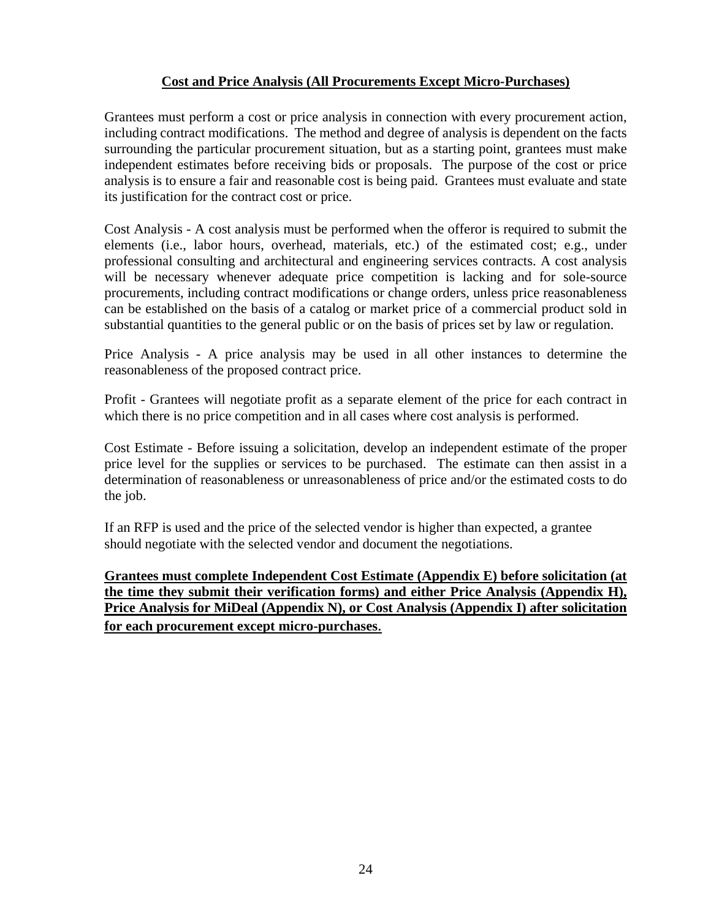# **Cost and Price Analysis (All Procurements Except Micro-Purchases)**

Grantees must perform a cost or price analysis in connection with every procurement action, including contract modifications. The method and degree of analysis is dependent on the facts surrounding the particular procurement situation, but as a starting point, grantees must make independent estimates before receiving bids or proposals. The purpose of the cost or price analysis is to ensure a fair and reasonable cost is being paid. Grantees must evaluate and state its justification for the contract cost or price.

Cost Analysis - A cost analysis must be performed when the offeror is required to submit the elements (i.e., labor hours, overhead, materials, etc.) of the estimated cost; e.g., under professional consulting and architectural and engineering services contracts. A cost analysis will be necessary whenever adequate price competition is lacking and for sole-source procurements, including contract modifications or change orders, unless price reasonableness can be established on the basis of a catalog or market price of a commercial product sold in substantial quantities to the general public or on the basis of prices set by law or regulation.

Price Analysis - A price analysis may be used in all other instances to determine the reasonableness of the proposed contract price.

Profit - Grantees will negotiate profit as a separate element of the price for each contract in which there is no price competition and in all cases where cost analysis is performed.

Cost Estimate - Before issuing a solicitation, develop an independent estimate of the proper price level for the supplies or services to be purchased. The estimate can then assist in a determination of reasonableness or unreasonableness of price and/or the estimated costs to do the job.

If an RFP is used and the price of the selected vendor is higher than expected, a grantee should negotiate with the selected vendor and document the negotiations.

**Grantees must complete Independent Cost Estimate (Appendix E) before solicitation (at the time they submit their verification forms) and either Price Analysis (Appendix H), Price Analysis for MiDeal (Appendix N), or Cost Analysis (Appendix I) after solicitation for each procurement except micro-purchases**.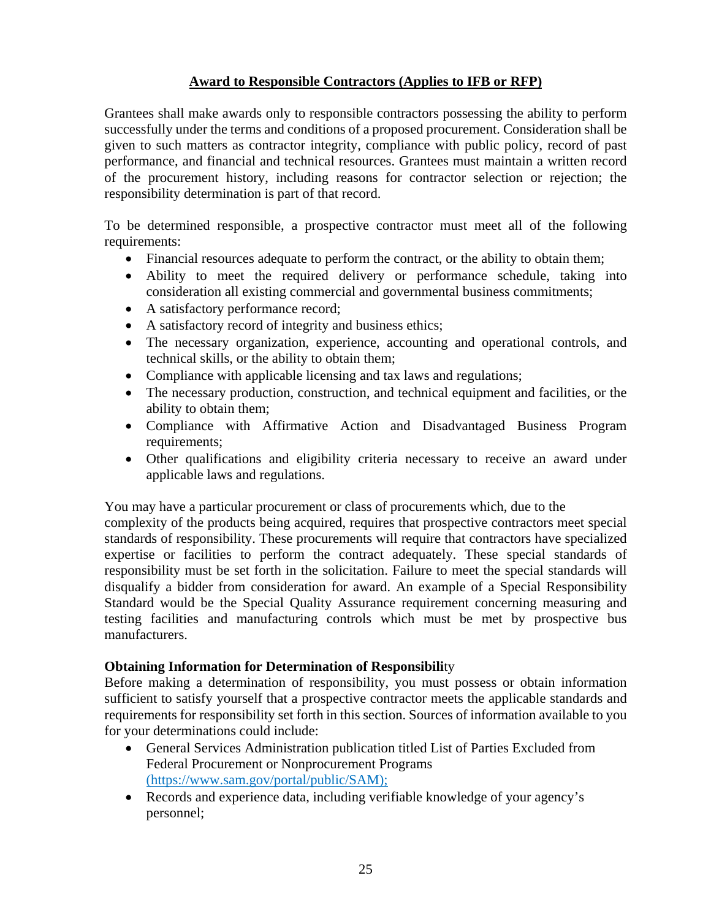# **Award to Responsible Contractors (Applies to IFB or RFP)**

Grantees shall make awards only to responsible contractors possessing the ability to perform successfully under the terms and conditions of a proposed procurement. Consideration shall be given to such matters as contractor integrity, compliance with public policy, record of past performance, and financial and technical resources. Grantees must maintain a written record of the procurement history, including reasons for contractor selection or rejection; the responsibility determination is part of that record.

To be determined responsible, a prospective contractor must meet all of the following requirements:

- Financial resources adequate to perform the contract, or the ability to obtain them;
- Ability to meet the required delivery or performance schedule, taking into consideration all existing commercial and governmental business commitments;
- A satisfactory performance record;
- A satisfactory record of integrity and business ethics;
- The necessary organization, experience, accounting and operational controls, and technical skills, or the ability to obtain them;
- Compliance with applicable licensing and tax laws and regulations;
- The necessary production, construction, and technical equipment and facilities, or the ability to obtain them;
- Compliance with Affirmative Action and Disadvantaged Business Program requirements;
- Other qualifications and eligibility criteria necessary to receive an award under applicable laws and regulations.

You may have a particular procurement or class of procurements which, due to the

complexity of the products being acquired, requires that prospective contractors meet special standards of responsibility. These procurements will require that contractors have specialized expertise or facilities to perform the contract adequately. These special standards of responsibility must be set forth in the solicitation. Failure to meet the special standards will disqualify a bidder from consideration for award. An example of a Special Responsibility Standard would be the Special Quality Assurance requirement concerning measuring and testing facilities and manufacturing controls which must be met by prospective bus manufacturers.

#### **Obtaining Information for Determination of Responsibili**ty

Before making a determination of responsibility, you must possess or obtain information sufficient to satisfy yourself that a prospective contractor meets the applicable standards and requirements for responsibility set forth in this section. Sources of information available to you for your determinations could include:

- General Services Administration publication titled List of Parties Excluded from Federal Procurement or Nonprocurement Programs (https://www.sam.gov/portal/public/SAM);
- Records and experience data, including verifiable knowledge of your agency's personnel;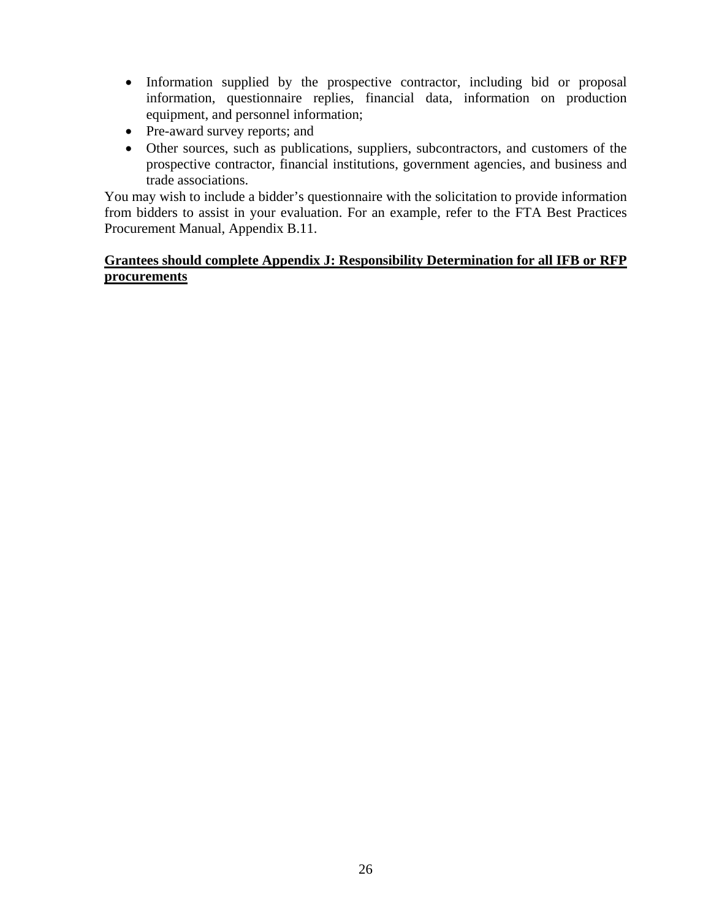- Information supplied by the prospective contractor, including bid or proposal information, questionnaire replies, financial data, information on production equipment, and personnel information;
- Pre-award survey reports; and
- Other sources, such as publications, suppliers, subcontractors, and customers of the prospective contractor, financial institutions, government agencies, and business and trade associations.

You may wish to include a bidder's questionnaire with the solicitation to provide information from bidders to assist in your evaluation. For an example, refer to the FTA Best Practices Procurement Manual, Appendix B.11.

#### **Grantees should complete Appendix J: Responsibility Determination for all IFB or RFP procurements**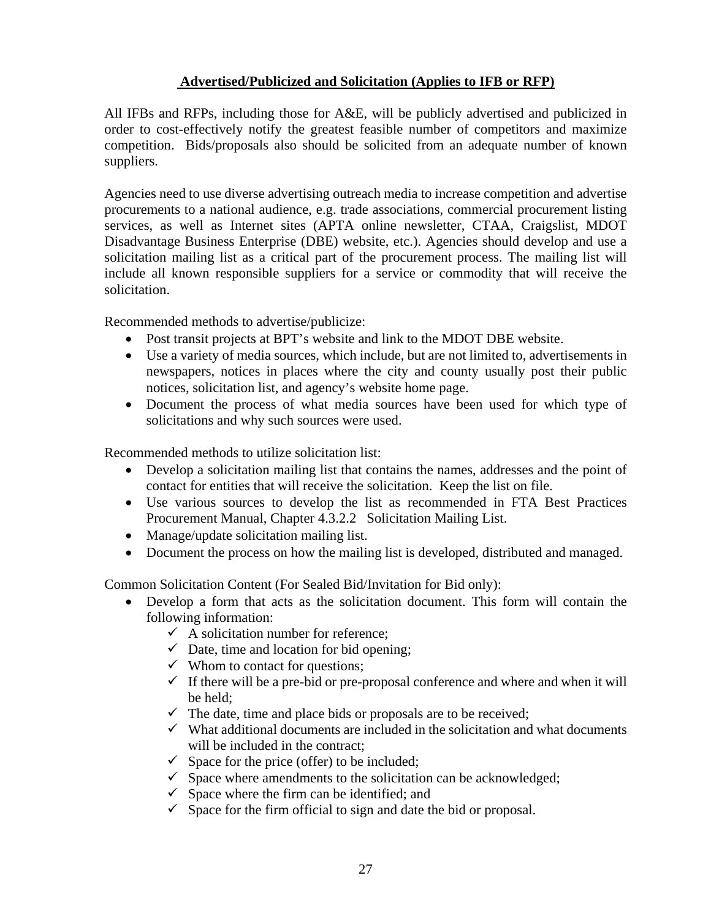# **Advertised/Publicized and Solicitation (Applies to IFB or RFP)**

All IFBs and RFPs, including those for A&E, will be publicly advertised and publicized in order to cost-effectively notify the greatest feasible number of competitors and maximize competition. Bids/proposals also should be solicited from an adequate number of known suppliers.

Agencies need to use diverse advertising outreach media to increase competition and advertise procurements to a national audience, e.g. trade associations, commercial procurement listing services, as well as Internet sites (APTA online newsletter, CTAA, Craigslist, MDOT Disadvantage Business Enterprise (DBE) website, etc.). Agencies should develop and use a solicitation mailing list as a critical part of the procurement process. The mailing list will include all known responsible suppliers for a service or commodity that will receive the solicitation.

Recommended methods to advertise/publicize:

- Post transit projects at BPT's website and link to the MDOT DBE website.
- Use a variety of media sources, which include, but are not limited to, advertisements in newspapers, notices in places where the city and county usually post their public notices, solicitation list, and agency's website home page.
- Document the process of what media sources have been used for which type of solicitations and why such sources were used.

Recommended methods to utilize solicitation list:

- Develop a solicitation mailing list that contains the names, addresses and the point of contact for entities that will receive the solicitation. Keep the list on file.
- Use various sources to develop the list as recommended in FTA Best Practices Procurement Manual, Chapter 4.3.2.2 Solicitation Mailing List.
- Manage/update solicitation mailing list.
- Document the process on how the mailing list is developed, distributed and managed.

Common Solicitation Content (For Sealed Bid/Invitation for Bid only):

- Develop a form that acts as the solicitation document. This form will contain the following information:
	- $\checkmark$  A solicitation number for reference:
	- $\checkmark$  Date, time and location for bid opening;
	- $\checkmark$  Whom to contact for questions;
	- $\checkmark$  If there will be a pre-bid or pre-proposal conference and where and when it will be held;
	- $\checkmark$  The date, time and place bids or proposals are to be received;
	- $\checkmark$  What additional documents are included in the solicitation and what documents will be included in the contract;
	- $\checkmark$  Space for the price (offer) to be included;
	- $\checkmark$  Space where amendments to the solicitation can be acknowledged;
	- $\checkmark$  Space where the firm can be identified; and
	- $\checkmark$  Space for the firm official to sign and date the bid or proposal.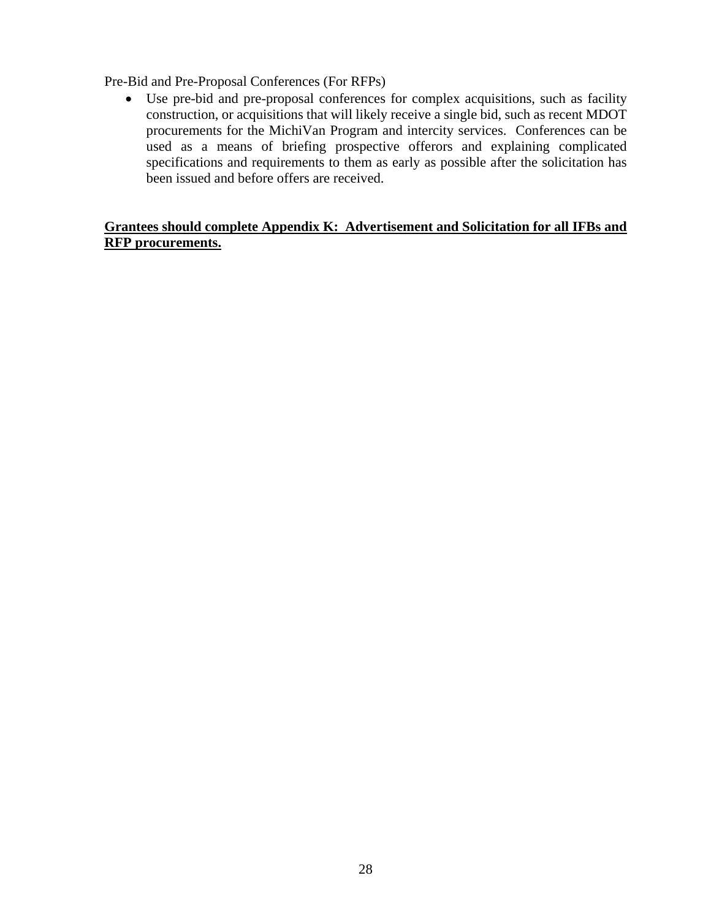Pre-Bid and Pre-Proposal Conferences (For RFPs)

 Use pre-bid and pre-proposal conferences for complex acquisitions, such as facility construction, or acquisitions that will likely receive a single bid, such as recent MDOT procurements for the MichiVan Program and intercity services. Conferences can be used as a means of briefing prospective offerors and explaining complicated specifications and requirements to them as early as possible after the solicitation has been issued and before offers are received.

#### **Grantees should complete Appendix K: Advertisement and Solicitation for all IFBs and RFP procurements.**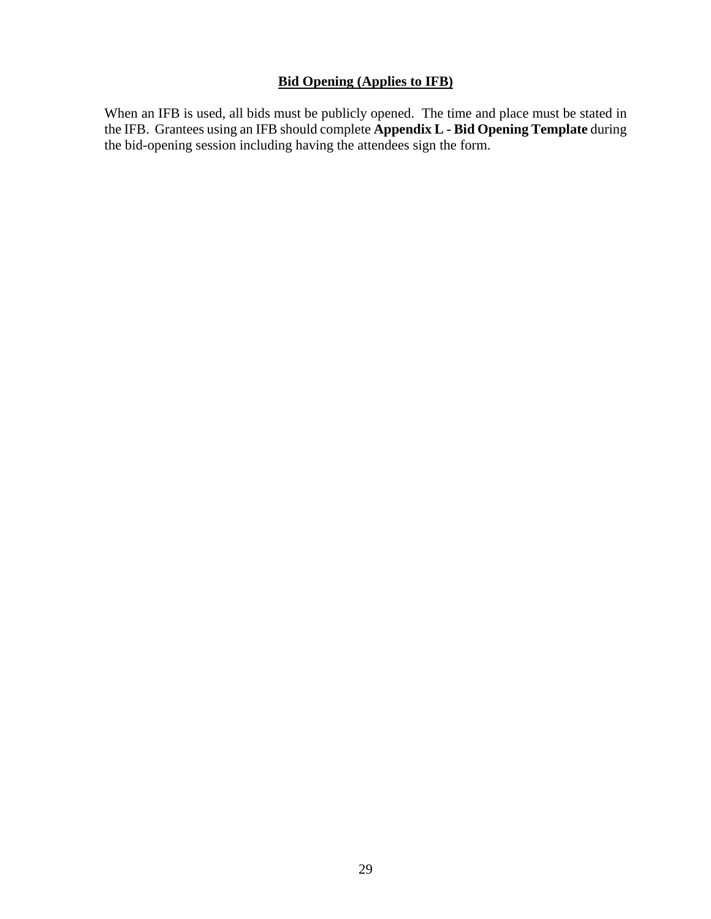# **Bid Opening (Applies to IFB)**

When an IFB is used, all bids must be publicly opened. The time and place must be stated in the IFB. Grantees using an IFB should complete **Appendix L - Bid Opening Template** during the bid-opening session including having the attendees sign the form.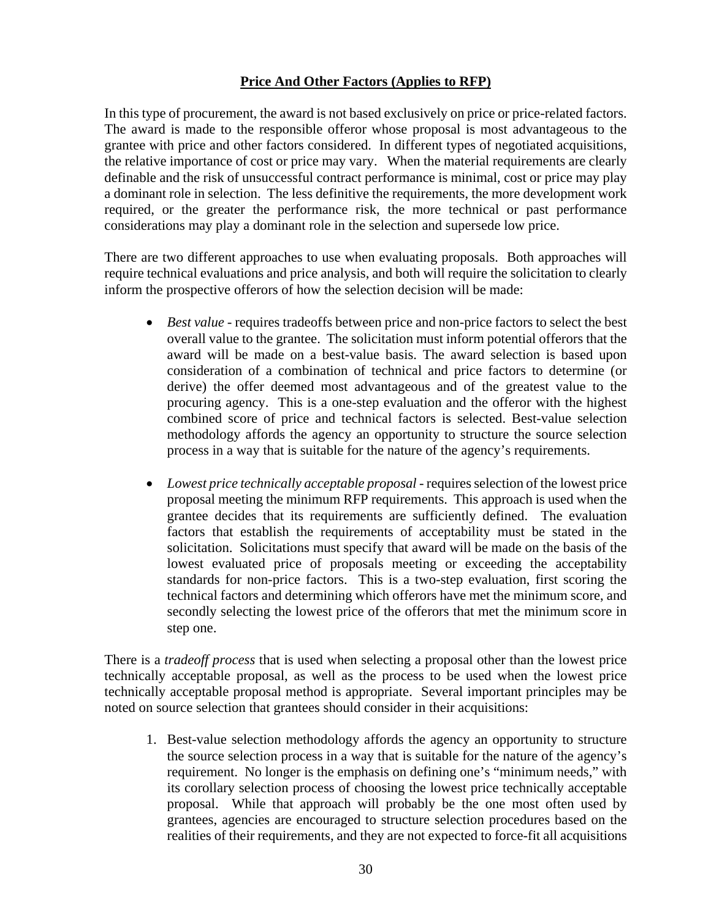# **Price And Other Factors (Applies to RFP)**

In this type of procurement, the award is not based exclusively on price or price-related factors. The award is made to the responsible offeror whose proposal is most advantageous to the grantee with price and other factors considered. In different types of negotiated acquisitions, the relative importance of cost or price may vary. When the material requirements are clearly definable and the risk of unsuccessful contract performance is minimal, cost or price may play a dominant role in selection. The less definitive the requirements, the more development work required, or the greater the performance risk, the more technical or past performance considerations may play a dominant role in the selection and supersede low price.

There are two different approaches to use when evaluating proposals. Both approaches will require technical evaluations and price analysis, and both will require the solicitation to clearly inform the prospective offerors of how the selection decision will be made:

- *Best value* requires tradeoffs between price and non-price factors to select the best overall value to the grantee. The solicitation must inform potential offerors that the award will be made on a best-value basis. The award selection is based upon consideration of a combination of technical and price factors to determine (or derive) the offer deemed most advantageous and of the greatest value to the procuring agency. This is a one-step evaluation and the offeror with the highest combined score of price and technical factors is selected. Best-value selection methodology affords the agency an opportunity to structure the source selection process in a way that is suitable for the nature of the agency's requirements.
- Lowest price technically acceptable proposal requires selection of the lowest price proposal meeting the minimum RFP requirements. This approach is used when the grantee decides that its requirements are sufficiently defined. The evaluation factors that establish the requirements of acceptability must be stated in the solicitation. Solicitations must specify that award will be made on the basis of the lowest evaluated price of proposals meeting or exceeding the acceptability standards for non-price factors. This is a two-step evaluation, first scoring the technical factors and determining which offerors have met the minimum score, and secondly selecting the lowest price of the offerors that met the minimum score in step one.

There is a *tradeoff process* that is used when selecting a proposal other than the lowest price technically acceptable proposal, as well as the process to be used when the lowest price technically acceptable proposal method is appropriate. Several important principles may be noted on source selection that grantees should consider in their acquisitions:

1. Best-value selection methodology affords the agency an opportunity to structure the source selection process in a way that is suitable for the nature of the agency's requirement. No longer is the emphasis on defining one's "minimum needs," with its corollary selection process of choosing the lowest price technically acceptable proposal. While that approach will probably be the one most often used by grantees, agencies are encouraged to structure selection procedures based on the realities of their requirements, and they are not expected to force-fit all acquisitions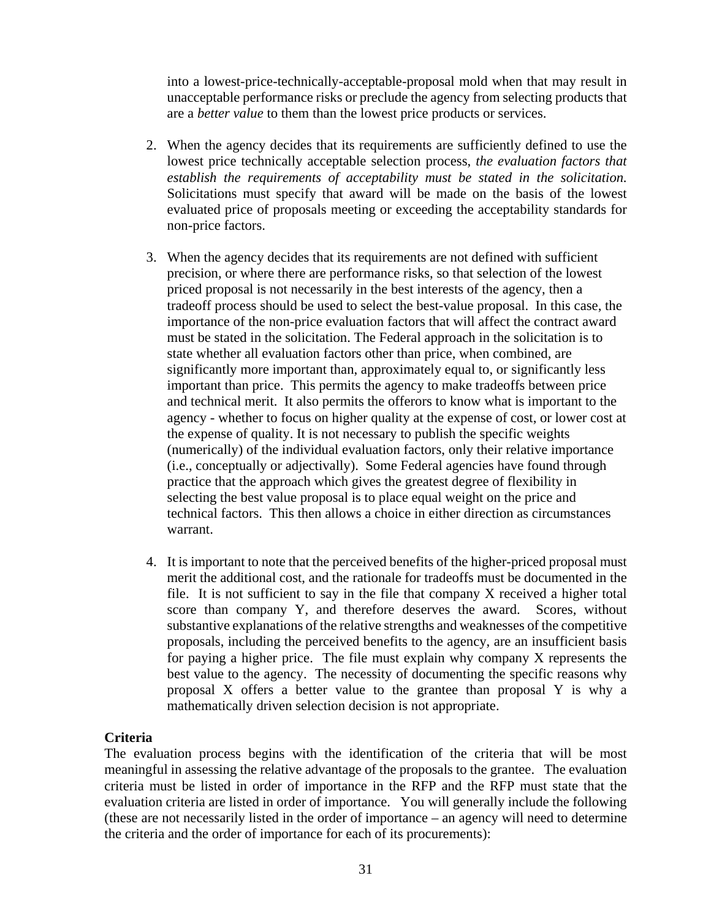into a lowest-price-technically-acceptable-proposal mold when that may result in unacceptable performance risks or preclude the agency from selecting products that are a *better value* to them than the lowest price products or services.

- 2. When the agency decides that its requirements are sufficiently defined to use the lowest price technically acceptable selection process, *the evaluation factors that establish the requirements of acceptability must be stated in the solicitation.* Solicitations must specify that award will be made on the basis of the lowest evaluated price of proposals meeting or exceeding the acceptability standards for non-price factors.
- 3. When the agency decides that its requirements are not defined with sufficient precision, or where there are performance risks, so that selection of the lowest priced proposal is not necessarily in the best interests of the agency, then a tradeoff process should be used to select the best-value proposal. In this case, the importance of the non-price evaluation factors that will affect the contract award must be stated in the solicitation. The Federal approach in the solicitation is to state whether all evaluation factors other than price, when combined, are significantly more important than, approximately equal to, or significantly less important than price. This permits the agency to make tradeoffs between price and technical merit. It also permits the offerors to know what is important to the agency - whether to focus on higher quality at the expense of cost, or lower cost at the expense of quality. It is not necessary to publish the specific weights (numerically) of the individual evaluation factors, only their relative importance (i.e., conceptually or adjectivally). Some Federal agencies have found through practice that the approach which gives the greatest degree of flexibility in selecting the best value proposal is to place equal weight on the price and technical factors. This then allows a choice in either direction as circumstances warrant.
- 4. It is important to note that the perceived benefits of the higher-priced proposal must merit the additional cost, and the rationale for tradeoffs must be documented in the file. It is not sufficient to say in the file that company X received a higher total score than company Y, and therefore deserves the award. Scores, without substantive explanations of the relative strengths and weaknesses of the competitive proposals, including the perceived benefits to the agency, are an insufficient basis for paying a higher price. The file must explain why company X represents the best value to the agency. The necessity of documenting the specific reasons why proposal X offers a better value to the grantee than proposal Y is why a mathematically driven selection decision is not appropriate.

#### **Criteria**

The evaluation process begins with the identification of the criteria that will be most meaningful in assessing the relative advantage of the proposals to the grantee. The evaluation criteria must be listed in order of importance in the RFP and the RFP must state that the evaluation criteria are listed in order of importance. You will generally include the following (these are not necessarily listed in the order of importance – an agency will need to determine the criteria and the order of importance for each of its procurements):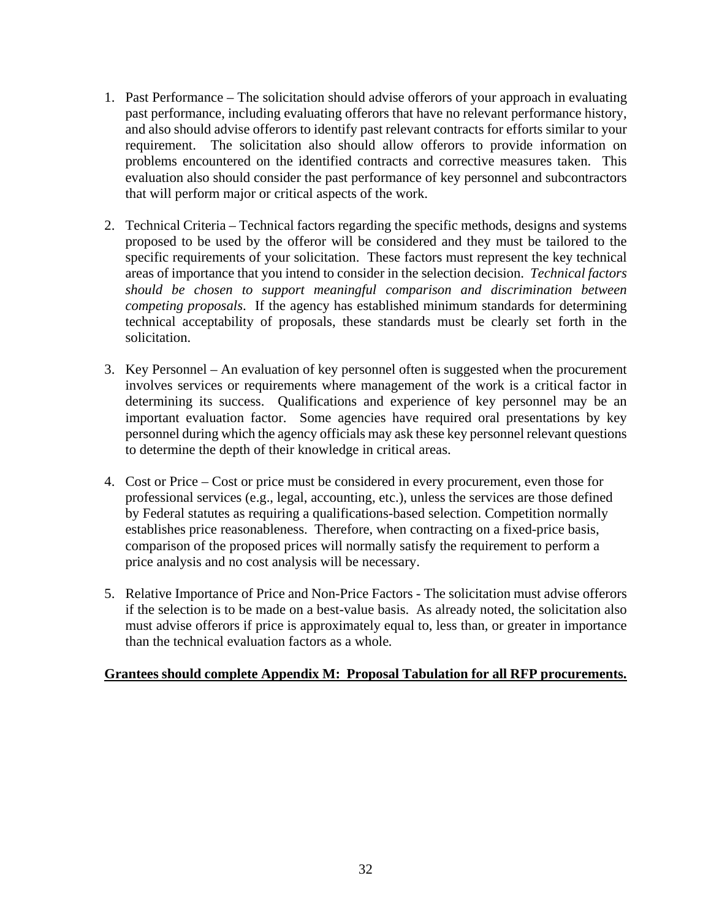- 1. Past Performance The solicitation should advise offerors of your approach in evaluating past performance, including evaluating offerors that have no relevant performance history, and also should advise offerors to identify past relevant contracts for efforts similar to your requirement. The solicitation also should allow offerors to provide information on problems encountered on the identified contracts and corrective measures taken. This evaluation also should consider the past performance of key personnel and subcontractors that will perform major or critical aspects of the work.
- 2. Technical Criteria Technical factors regarding the specific methods, designs and systems proposed to be used by the offeror will be considered and they must be tailored to the specific requirements of your solicitation. These factors must represent the key technical areas of importance that you intend to consider in the selection decision. *Technical factors should be chosen to support meaningful comparison and discrimination between competing proposals*. If the agency has established minimum standards for determining technical acceptability of proposals, these standards must be clearly set forth in the solicitation.
- 3. Key Personnel An evaluation of key personnel often is suggested when the procurement involves services or requirements where management of the work is a critical factor in determining its success. Qualifications and experience of key personnel may be an important evaluation factor. Some agencies have required oral presentations by key personnel during which the agency officials may ask these key personnel relevant questions to determine the depth of their knowledge in critical areas.
- 4. Cost or Price Cost or price must be considered in every procurement, even those for professional services (e.g., legal, accounting, etc.), unless the services are those defined by Federal statutes as requiring a qualifications-based selection. Competition normally establishes price reasonableness. Therefore, when contracting on a fixed-price basis, comparison of the proposed prices will normally satisfy the requirement to perform a price analysis and no cost analysis will be necessary.
- 5. Relative Importance of Price and Non-Price Factors The solicitation must advise offerors if the selection is to be made on a best-value basis. As already noted, the solicitation also must advise offerors if price is approximately equal to, less than, or greater in importance than the technical evaluation factors as a whole*.*

#### **Grantees should complete Appendix M: Proposal Tabulation for all RFP procurements.**